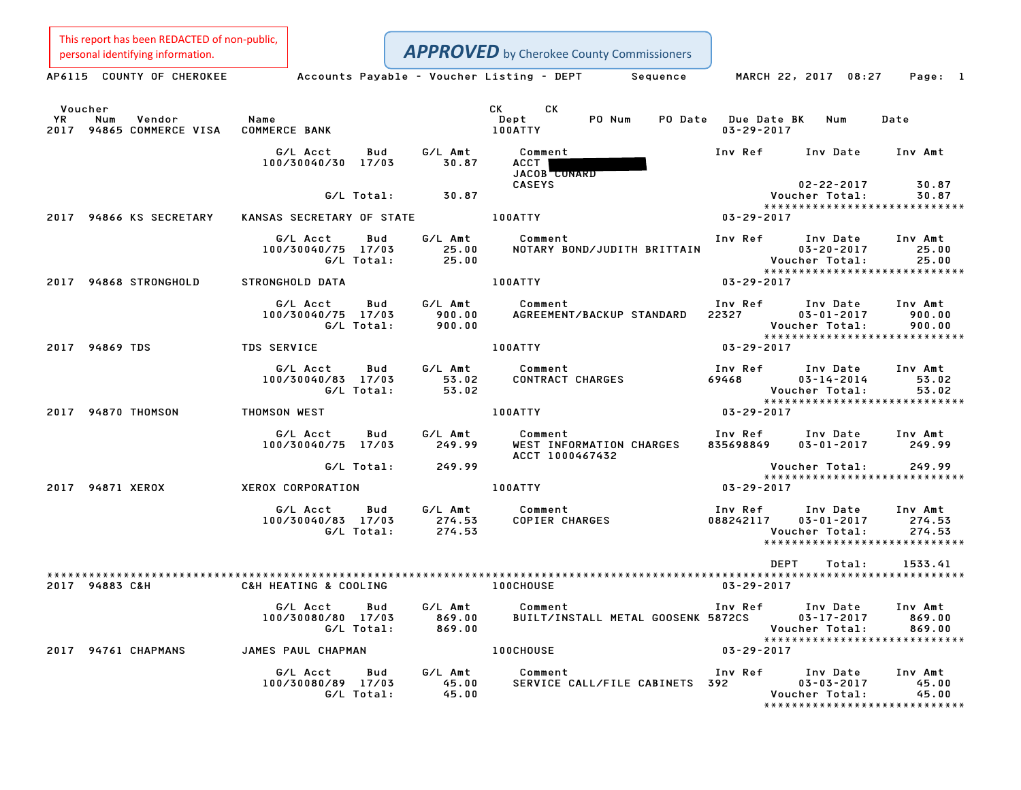This report has been REDACTED of non-public,

|               | personal identifying information.         |                                                    |                   |                             |                                    | <b>APPROVED</b> by Cherokee County Commissioners |                                         |                                                                                  |                                                            |
|---------------|-------------------------------------------|----------------------------------------------------|-------------------|-----------------------------|------------------------------------|--------------------------------------------------|-----------------------------------------|----------------------------------------------------------------------------------|------------------------------------------------------------|
|               | AP6115 COUNTY OF CHEROKEE                 | Accounts Payable - Voucher Listing - DEPT Sequence |                   |                             |                                    |                                                  |                                         | MARCH 22, 2017 08:27                                                             | Page: 1                                                    |
| Voucher<br>YR | Num<br>Vendor<br>2017 94865 COMMERCE VISA | Name<br><b>COMMERCE BANK</b>                       |                   |                             | CK<br><b>CK</b><br>Dept<br>100ATTY | PO Num                                           | PO Date Due Date BK<br>$03 - 29 - 2017$ | Num                                                                              | Date                                                       |
|               |                                           | G/L Acct<br>100/30040/30 17/03                     | Bud               | G/L Amt<br>30.87            | Comment<br>ACCT  <br>JACOB CONARD  |                                                  | Inv Ref                                 | Inv Date                                                                         | Inv Amt                                                    |
|               |                                           |                                                    | G/L Total:        | 30.87                       | <b>CASEYS</b>                      |                                                  |                                         | $02 - 22 - 2017$<br>Voucher Total:                                               | 30.87<br>30.87<br>*****************************            |
|               | 2017 94866 KS SECRETARY                   | KANSAS SECRETARY OF STATE                          |                   |                             | 100ATTY                            | $03 - 29 - 2017$                                 |                                         |                                                                                  |                                                            |
|               |                                           | G/L Acct<br>100/30040/75 17/03                     | Bud<br>G/L Total: | G/L Amt<br>25.00<br>25.00   | Comment                            | NOTARY BOND/JUDITH BRITTAIN                      | Inv Ref                                 | Inv Date<br>$03 - 20 - 2017$<br>Voucher Total:<br>****************************** | Inv Amt<br>25.00<br>25.00                                  |
|               | 2017 94868 STRONGHOLD                     | STRONGHOLD DATA                                    |                   |                             | 100ATTY                            |                                                  | $03 - 29 - 2017$                        |                                                                                  |                                                            |
|               |                                           | G/L Acct<br>100/30040/75 17/03                     | Bud<br>G/L Total: | G/L Amt<br>900.00<br>900.00 | Comment                            | AGREEMENT/BACKUP STANDARD                        | Inv Ref<br>22327                        | Inv Date<br>$03 - 01 - 2017$<br>Voucher Total:                                   | Inv Amt<br>900.00<br>900.00                                |
|               | 2017 94869 TDS                            | <b>TDS SERVICE</b>                                 |                   |                             | 100ATTY                            |                                                  | $03 - 29 - 2017$                        | ******************************                                                   |                                                            |
|               |                                           | G/L Acct<br>100/30040/83 17/03                     | Bud<br>G/L Total: | G/L Amt<br>53.02<br>53.02   | Comment<br>CONTRACT CHARGES        |                                                  | Inv Ref<br>69468                        | Inv Date<br>$03 - 14 - 2014$<br>Voucher Total:<br>****************************** | Inv Amt<br>53.02<br>53.02                                  |
|               | 2017 94870 THOMSON                        | THOMSON WEST                                       |                   |                             | 100ATTY                            |                                                  | $03 - 29 - 2017$                        |                                                                                  |                                                            |
|               |                                           | G/L Acct<br>100/30040/75 17/03                     | Bud               | G/L Amt<br>249.99           | Comment<br>ACCT 1000467432         | WEST INFORMATION CHARGES                         | Inv Ref<br>835698849                    | Inv Date<br>$03 - 01 - 2017$                                                     | Inv Amt<br>249.99                                          |
|               |                                           |                                                    | G/L Total:        | 249.99                      |                                    |                                                  |                                         | Voucher Total:<br>******************************                                 | 249.99                                                     |
|               | 2017 94871 XEROX                          | XEROX CORPORATION                                  |                   |                             | 100ATTY                            |                                                  | 03-29-2017                              |                                                                                  |                                                            |
|               |                                           | G/L Acct<br>100/30040/83 17/03                     | Bud<br>G/L Total: | G/L Amt<br>274.53<br>274.53 | Comment<br>COPIER CHARGES          |                                                  | Inv Ref<br>088242117                    | Inv Date<br>$03 - 01 - 2017$<br>Voucher Total:<br>****************************** | Inv Amt<br>274.53<br>274.53                                |
|               |                                           |                                                    |                   |                             |                                    |                                                  |                                         | DEPT<br>Total:                                                                   | 1533.41                                                    |
|               | 2017 94883 C&H                            | C&H HEATING & COOLING                              |                   |                             | <b>100CHOUSE</b>                   |                                                  | $03 - 29 - 2017$                        |                                                                                  |                                                            |
|               |                                           | G/L Acct<br>100/30080/80 17/03                     | Bud<br>G/L Total: | G/L Amt<br>869.00<br>869.00 | Comment                            | BUILT/INSTALL METAL GOOSENK 5872CS               | Inv Ref                                 | Inv Date<br>$03 - 17 - 2017$<br>Voucher Total:<br>****************************** | Inv Amt<br>869.00<br>869.00                                |
|               | 2017 94761 CHAPMANS                       | JAMES PAUL CHAPMAN                                 |                   |                             | 100CHOUSE                          |                                                  | 03-29-2017                              |                                                                                  |                                                            |
|               |                                           | G/L Acct<br>100/30080/89 17/03                     | Bud<br>G/L Total: | G/L Amt<br>45.00<br>45.00   | Comment                            | SERVICE CALL/FILE CABINETS 392                   | Inv Ref                                 | Inv Date<br>$03 - 03 - 2017$<br>Voucher Total:                                   | Inv Amt<br>45.00<br>45.00<br>***************************** |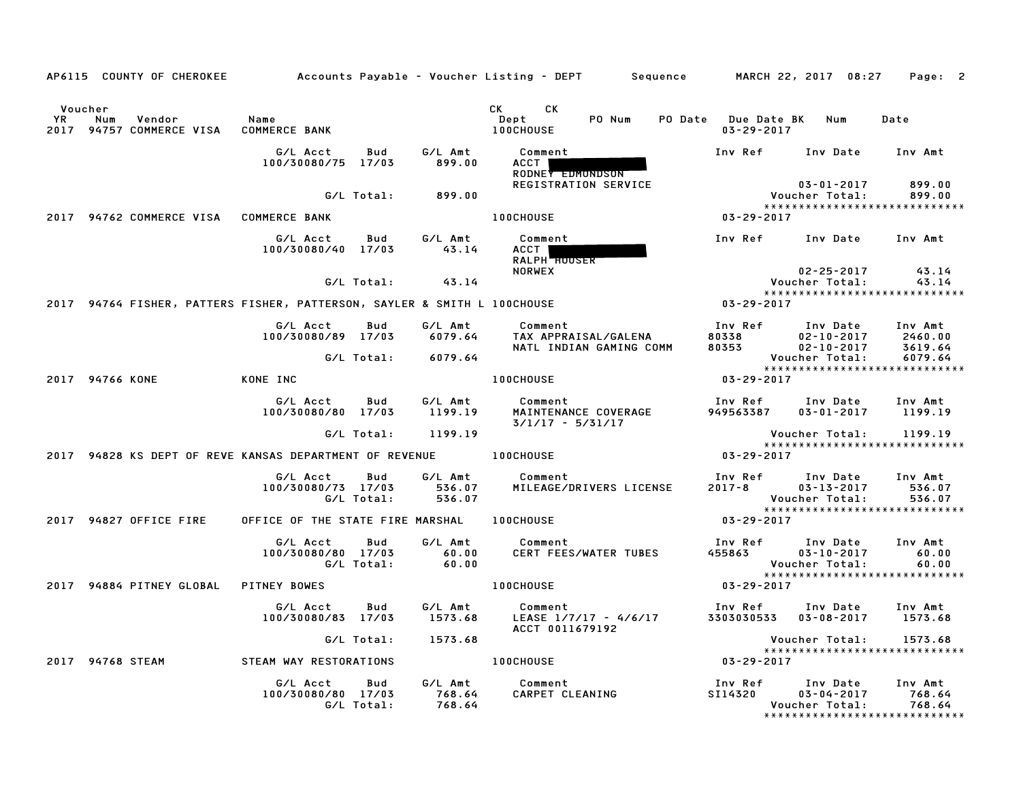|             |                  | AP6115 COUNTY OF CHEROKEE     |                                                                          |                   |                             | Accounts Payable – Voucher Listing – DEPT         Sequence |                       | MARCH 22, 2017 08:27                                                | Page: 2                     |
|-------------|------------------|-------------------------------|--------------------------------------------------------------------------|-------------------|-----------------------------|------------------------------------------------------------|-----------------------|---------------------------------------------------------------------|-----------------------------|
| YR.<br>2017 | Voucher<br>Num   | Vendor<br>94757 COMMERCE VISA | Name<br><b>COMMERCE BANK</b>                                             |                   |                             | CK .<br>CK.<br>PO Num<br>Dept<br><b>100CHOUSE</b>          | PO Date Due Date BK   | Num<br>$03 - 29 - 2017$                                             | Date                        |
|             |                  |                               | G/L Acct<br>100/30080/75 17/03                                           | Bud               | G/L Amt<br>899.00           | Comment<br><b>ACCT</b><br>RODNEY EDMONDSON                 | Inv Ref               | Inv Date                                                            | Inv Amt                     |
|             |                  |                               |                                                                          | G/L Total:        | 899.00                      | REGISTRATION SERVICE                                       |                       | $03 - 01 - 2017$<br>Voucher Total:<br>***************************** | 899.00<br>899.00            |
|             |                  | 2017 94762 COMMERCE VISA      | <b>COMMERCE BANK</b>                                                     |                   |                             | 100CHOUSE                                                  | $03 - 29 - 2017$      |                                                                     |                             |
|             |                  |                               | G/L Acct<br>100/30080/40 17/03                                           | Bud               | G/L Amt<br>43.14            | Comment<br>ACCT  <br><b>RALPH HOUSER</b>                   | Inv Ref               | Inv Date                                                            | Inv Amt                     |
|             |                  |                               |                                                                          | G/L Total:        | 43.14                       | <b>NORWEX</b>                                              |                       | $02 - 25 - 2017$<br>Voucher Total:                                  | 43.14<br>43.14              |
|             |                  |                               | 2017 94764 FISHER, PATTERS FISHER, PATTERSON, SAYLER & SMITH L 100CHOUSE |                   |                             |                                                            | 03-29-2017            | *****************************                                       |                             |
|             |                  |                               | G/L Acct                                                                 | Bud               | G/L Amt                     | Comment                                                    | Inv Ref               | Inv Date                                                            | Inv Amt                     |
|             |                  |                               | 100/30080/89 17/03                                                       |                   | 6079.64                     | TAX APPRAISAL/GALENA<br>NATL INDIAN GAMING COMM            | 80338<br>80353        | $02 - 10 - 2017$<br>$02 - 10 - 2017$                                | 2460.00<br>3619.64          |
|             |                  |                               |                                                                          | G/L Total:        | 6079.64                     |                                                            |                       | Voucher Total:<br>*****************************                     | 6079.64                     |
|             | 2017 94766 KONE  |                               | KONE INC                                                                 |                   |                             | <b>100CHOUSE</b>                                           | 03-29-2017            |                                                                     |                             |
|             |                  |                               | G/L Acct<br>100/30080/80 17/03                                           | Bud               | G/L Amt<br>1199.19          | Comment<br>MAINTENANCE COVERAGE<br>$3/1/17 - 5/31/17$      | Inv Ref<br>949563387  | Inv Date<br>$03 - 01 - 2017$                                        | Inv Amt<br>1199.19          |
|             |                  |                               |                                                                          | G/L Total:        | 1199.19                     |                                                            |                       | Voucher Total:                                                      | 1199.19                     |
|             |                  |                               | 2017 94828 KS DEPT OF REVE KANSAS DEPARTMENT OF REVENUE                  |                   |                             | <b>100CHOUSE</b>                                           | $03 - 29 - 2017$      | *****************************                                       |                             |
|             |                  |                               | G/L Acct<br>100/30080/73 17/03                                           | Bud<br>G/L Total: | G/L Amt<br>536.07<br>536.07 | Comment<br>MILEAGE/DRIVERS LICENSE                         | Inv Ref<br>$2017 - 8$ | Inv Date<br>$03 - 13 - 2017$<br>Voucher Total:                      | Inv Amt<br>536.07<br>536.07 |
|             |                  | 2017 94827 OFFICE FIRE        | OFFICE OF THE STATE FIRE MARSHAL                                         |                   |                             | <b>100CHOUSE</b>                                           | 03-29-2017            | ******************************                                      |                             |
|             |                  |                               | G/L Acct<br>100/30080/80 17/03                                           | Bud<br>G/L Total: | G/L Amt<br>60.00<br>60.00   | Comment<br>CERT FEES/WATER TUBES                           | Inv Ref<br>455863     | Inv Date<br>$03 - 10 - 2017$<br>Voucher Total:                      | Inv Amt<br>60.00<br>60.00   |
|             |                  | 2017 94884 PITNEY GLOBAL      | PITNEY BOWES                                                             |                   |                             | 100CHOUSE                                                  | 03-29-2017            | *****************************                                       |                             |
|             |                  |                               | G/L Acct<br>100/30080/83 17/03                                           | Bud               | G/L Amt<br>1573.68          | Comment<br>LEASE 1/7/17 - 4/6/17<br>ACCT 0011679192        | Inv Ref               | Inv Date<br>3303030533  03-08-2017                                  | Inv Amt<br>1573.68          |
|             |                  |                               |                                                                          | G/L Total:        | 1573.68                     |                                                            |                       | Voucher Total:                                                      | 1573.68                     |
|             | 2017 94768 STEAM |                               | STEAM WAY RESTORATIONS                                                   |                   |                             | <b>100CHOUSE</b>                                           | $03 - 29 - 2017$      | *****************************                                       |                             |
|             |                  |                               | G/L Acct<br>100/30080/80 17/03                                           | Bud<br>G/L Total: | G/L Amt<br>768.64<br>768.64 | Comment<br>CARPET CLEANING                                 | Inv Ref<br>SI14320    | Inv Date<br>$03 - 04 - 2017$<br>Voucher Total:                      | Inv Amt<br>768.64<br>768.64 |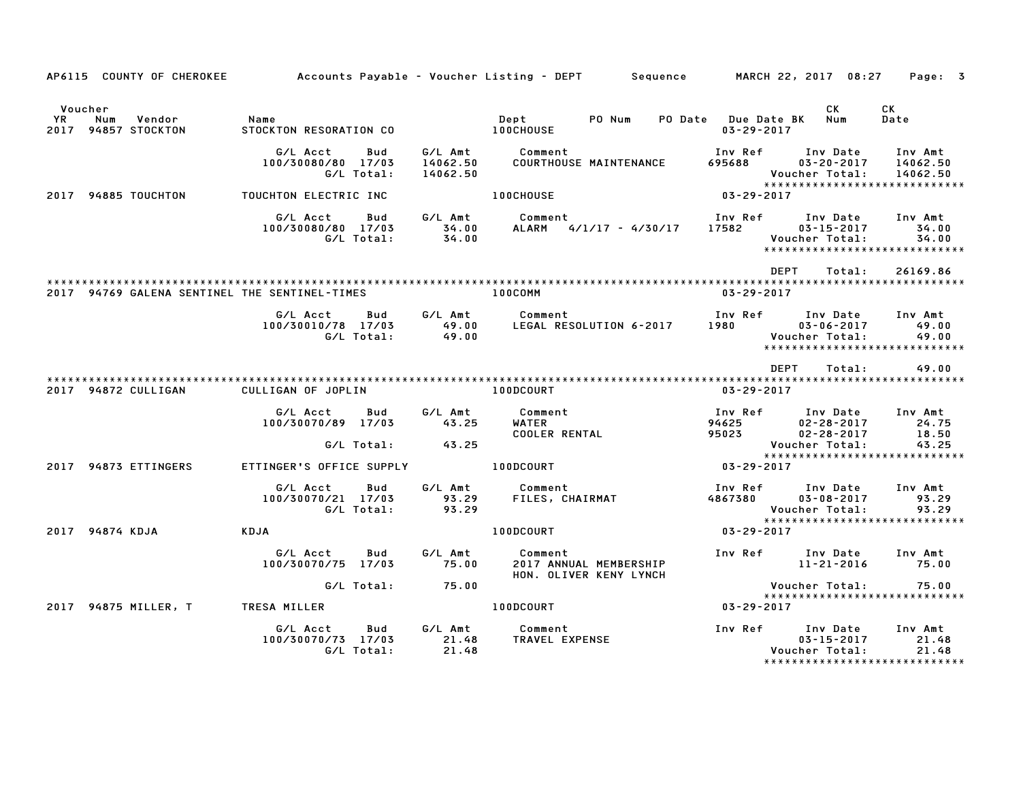|     | AP6115 COUNTY OF CHEROKEE                       |                                                     |                                 | Accounts Payable – Voucher Listing – DEPT         Sequence         MARCH 22, 2017  08:27 |                                         |                                                                                        | Page: 3                         |
|-----|-------------------------------------------------|-----------------------------------------------------|---------------------------------|------------------------------------------------------------------------------------------|-----------------------------------------|----------------------------------------------------------------------------------------|---------------------------------|
| YR. | Voucher<br>Num<br>Vendor<br>2017 94857 STOCKTON | Name<br>STOCKTON RESORATION CO                      |                                 | PO Num<br>Dept<br>100CHOUSE                                                              | PO Date Due Date BK<br>$03 - 29 - 2017$ | CK<br>Num                                                                              | CK<br>Date                      |
|     |                                                 | G/L Acct<br>Bud<br>100/30080/80 17/03<br>G/L Total: | G/L Amt<br>14062.50<br>14062.50 | Comment<br>COURTHOUSE MAINTENANCE                                                        | Inv Ref<br>695688                       | Inv Date<br>$03 - 20 - 2017$<br>Voucher Total:<br>*****************************        | Inv Amt<br>14062.50<br>14062.50 |
|     | 2017 94885 TOUCHTON                             | TOUCHTON ELECTRIC INC                               |                                 | <b>100CHOUSE</b>                                                                         | $03 - 29 - 2017$                        |                                                                                        |                                 |
|     |                                                 | G/L Acct<br>Bud<br>100/30080/80 17/03<br>G/L Total: | G/L Amt<br>34.00<br>34.00       | Comment<br>ALARM 4/1/17 - 4/30/17                                                        | Inv Ref<br>17582                        | Inv Date<br>$03 - 15 - 2017$<br>Voucher Total:<br>******************************       | Inv Amt<br>34.00<br>34.00       |
|     |                                                 |                                                     |                                 |                                                                                          |                                         | DEPT<br>Total:                                                                         | 26169.86                        |
|     | 2017 94769 GALENA SENTINEL THE SENTINEL-TIMES   |                                                     |                                 | 100COMM                                                                                  | $03 - 29 - 2017$                        |                                                                                        |                                 |
|     |                                                 | G/L Acct<br>Bud<br>100/30010/78 17/03<br>G/L Total: | G/L Amt<br>49.00<br>49.00       | Comment<br>LEGAL RESOLUTION 6-2017                                                       | Inv Ref<br>1980 1980                    | Inv Date<br>$03 - 06 - 2017$<br>Voucher Total:<br>*****************************        | Inv Amt<br>49.00<br>49.00       |
|     |                                                 |                                                     |                                 |                                                                                          |                                         | DEPT<br>Total:                                                                         | 49.00                           |
|     | 2017 94872 CULLIGAN                             | CULLIGAN OF JOPLIN                                  |                                 | 100DCOURT                                                                                | $03 - 29 - 2017$                        |                                                                                        |                                 |
|     |                                                 | G/L Acct<br>Bud<br>100/30070/89 17/03               | G/L Amt<br>43.25                | Comment<br>WATER<br><b>COOLER RENTAL</b>                                                 | Inv Ref<br>94625<br>95023               | Inv Date<br>$02 - 28 - 2017$<br>$02 - 28 - 2017$                                       | Inv Amt<br>24.75<br>18.50       |
|     |                                                 | G/L Total:                                          | 43.25                           |                                                                                          |                                         | Voucher Total:<br>*****************************                                        | 43.25                           |
|     | 2017 94873 ETTINGERS                            | ETTINGER'S OFFICE SUPPLY                            |                                 | 100DCOURT                                                                                | $03 - 29 - 2017$                        |                                                                                        |                                 |
|     |                                                 | G/L Acct<br>Bud<br>100/30070/21 17/03<br>G/L Total: | G/L Amt<br>93.29<br>93.29       | Comment<br>FILES, CHAIRMAT                                                               | Inv Ref<br>4867380                      | Inv Date<br>$03 - 08 - 2017$<br><b>Voucher Total:</b><br>***************************** | Inv Amt<br>93.29<br>93.29       |
|     | 2017 94874 KDJA                                 | KDJA                                                |                                 | 100DCOURT                                                                                | 03-29-2017                              |                                                                                        |                                 |
|     |                                                 | G/L Acct<br>Bud<br>100/30070/75 17/03               | G/L Amt<br>75.00                | Comment<br>2017 ANNUAL MEMBERSHIP<br>HON. OLIVER KENY LYNCH                              | Inv Ref                                 | Inv Date<br>$11 - 21 - 2016$                                                           | Inv Amt<br>75.00                |
|     |                                                 | G/L Total:                                          | 75.00                           |                                                                                          |                                         | Voucher Total:<br>*****************************                                        | 75.00                           |
|     | 2017 94875 MILLER, T                            | <b>TRESA MILLER</b>                                 |                                 | 100DCOURT                                                                                | $03 - 29 - 2017$                        |                                                                                        |                                 |
|     |                                                 | G/L Acct<br>Bud<br>100/30070/73 17/03<br>G/L Total: | G/L Amt<br>21.48<br>21.48       | Comment<br>TRAVEL EXPENSE                                                                | Inv Ref                                 | Inv Date<br>$03 - 15 - 2017$<br>Voucher Total:<br>*****************************        | Inv Amt<br>21.48<br>21.48       |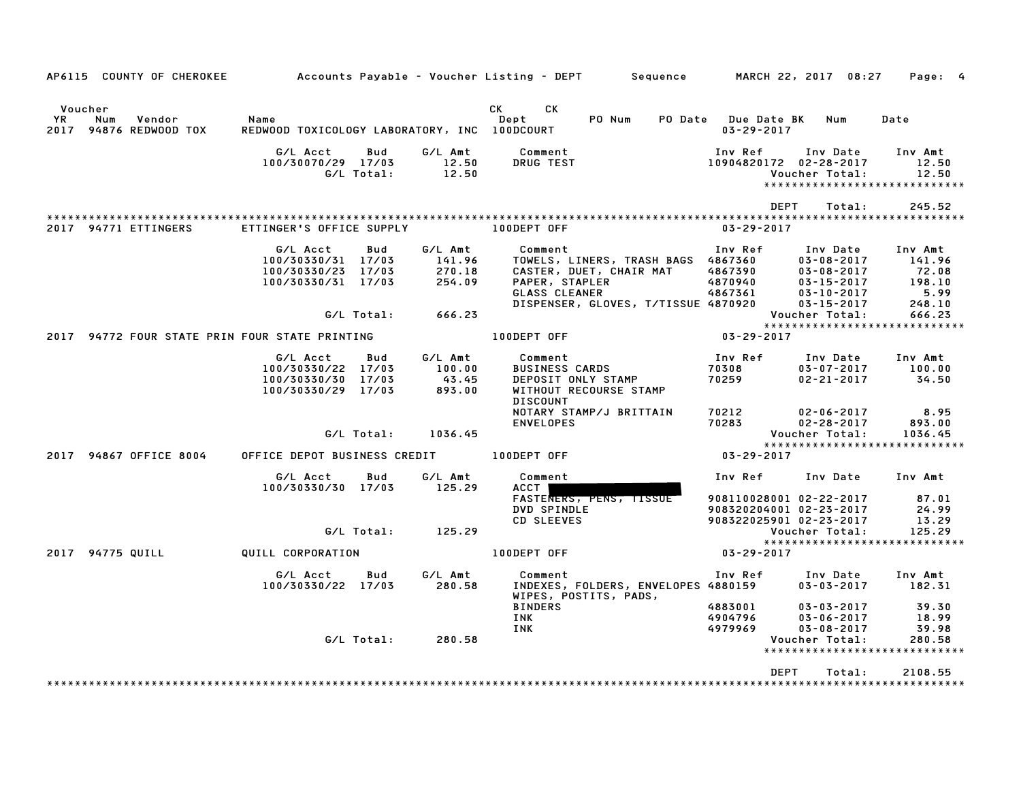| AP6115 COUNTY OF CHEROKEE                                 |                                                                            |                   |                                                 | Accounts Payable – Voucher Listing – DEPT         Sequence                                                                                                |                                                    | MARCH 22, 2017 08:27                                                                                                           | Page: 4                                                            |
|-----------------------------------------------------------|----------------------------------------------------------------------------|-------------------|-------------------------------------------------|-----------------------------------------------------------------------------------------------------------------------------------------------------------|----------------------------------------------------|--------------------------------------------------------------------------------------------------------------------------------|--------------------------------------------------------------------|
| Voucher<br>YR.<br>Num<br>Vendor<br>2017 94876 REDWOOD TOX | Name<br>REDWOOD TOXICOLOGY LABORATORY, INC 100DCOURT                       |                   |                                                 | CK.<br>CK.<br>PO Num<br>Dept<br>PO Date                                                                                                                   | <b>Due Date BK</b><br>$03 - 29 - 2017$             | Num                                                                                                                            | Date                                                               |
|                                                           | G/L Acct<br>100/30070/29 17/03                                             | Bud<br>G/L Total: | G/L Amt<br>12.50<br>12.50                       | Comment<br>DRUG TEST                                                                                                                                      | Inv Ref<br>10904820172 02-28-2017                  | Inv Date<br>Voucher Total:                                                                                                     | Inv Amt<br>12.50<br>12.50<br>*****************************         |
|                                                           |                                                                            |                   |                                                 |                                                                                                                                                           | <b>DEPT</b>                                        | Total:                                                                                                                         | 245.52                                                             |
| 2017 94771 ETTINGERS                                      | ETTINGER'S OFFICE SUPPLY                                                   |                   |                                                 | 100DEPT OFF                                                                                                                                               | $03 - 29 - 2017$                                   |                                                                                                                                |                                                                    |
|                                                           | G/L Acct<br>100/30330/31 17/03<br>100/30330/23 17/03<br>100/30330/31 17/03 | Bud<br>G/L Total: | G/L Amt<br>141.96<br>270.18<br>254.09<br>666.23 | Comment<br>TOWELS, LINERS, TRASH BAGS 4867360<br>CASTER, DUET, CHAIR MAT<br>PAPER, STAPLER<br><b>GLASS CLEANER</b><br>DISPENSER, GLOVES, T/TISSUE 4870920 | Inv Ref<br>4867390<br>4870940<br>4867361           | Inv Date<br>$03 - 08 - 2017$<br>$03 - 08 - 2017$<br>$03 - 15 - 2017$<br>$03 - 10 - 2017$<br>$03 - 15 - 2017$<br>Voucher Total: | Inv Amt<br>141.96<br>72.08<br>198.10<br>5.99<br>248.10<br>666.23   |
|                                                           |                                                                            |                   |                                                 |                                                                                                                                                           |                                                    |                                                                                                                                | *****************************                                      |
| 2017 94772 FOUR STATE PRIN FOUR STATE PRINTING            |                                                                            |                   |                                                 | 100DEPT OFF                                                                                                                                               | $03 - 29 - 2017$                                   |                                                                                                                                |                                                                    |
|                                                           | G/L Acct<br>100/30330/22 17/03<br>100/30330/30 17/03<br>100/30330/29 17/03 | Bud               | G/L Amt<br>100.00<br>43.45<br>893.00            | Comment<br><b>BUSINESS CARDS</b><br>DEPOSIT ONLY STAMP<br>WITHOUT RECOURSE STAMP<br><b>DISCOUNT</b>                                                       | Inv Ref<br>70308<br>70259                          | Inv Date<br>$03 - 07 - 2017$<br>$02 - 21 - 2017$                                                                               | Inv Amt<br>100.00<br>34.50                                         |
|                                                           |                                                                            | G/L Total:        | 1036.45                                         | NOTARY STAMP/J BRITTAIN<br><b>ENVELOPES</b>                                                                                                               | 70212<br>70283                                     | $02 - 06 - 2017$<br>$02 - 28 - 2017$<br>Voucher Total:                                                                         | 8.95<br>893.00<br>1036.45                                          |
| 2017 94867 OFFICE 8004                                    | OFFICE DEPOT BUSINESS CREDIT                                               |                   |                                                 | 100DEPT OFF                                                                                                                                               | $03 - 29 - 2017$                                   |                                                                                                                                | *****************************                                      |
|                                                           | G/L Acct<br>100/30330/30 17/03                                             | Bud               | G/L Amt<br>125.29                               | Comment<br>ACCT<br>FASTENERS, PENS, TISSUE                                                                                                                | Inv Ref<br>908110028001 02-22-2017                 | Inv Date                                                                                                                       | Inv Amt<br>87.01                                                   |
|                                                           |                                                                            | G/L Total:        | 125.29                                          | DVD SPINDLE<br>CD SLEEVES                                                                                                                                 | 908320204001 02-23-2017<br>908322025901 02-23-2017 | Voucher Total:                                                                                                                 | 24.99<br>13.29<br>125.29                                           |
| 2017 94775 QUILL                                          | QUILL CORPORATION                                                          |                   |                                                 | 100DEPT OFF                                                                                                                                               | $03 - 29 - 2017$                                   |                                                                                                                                | ****************************                                       |
|                                                           | G/L Acct<br>100/30330/22 17/03                                             | Bud               | G/L Amt<br>280.58                               | Comment<br>INDEXES, FOLDERS, ENVELOPES 4880159<br>WIPES, POSTITS, PADS,                                                                                   | Inv Ref                                            | Inv Date<br>$03 - 03 - 2017$                                                                                                   | Inv Amt<br>182.31                                                  |
|                                                           |                                                                            | G/L Total:        | 280.58                                          | <b>BINDERS</b><br>INK<br>INK                                                                                                                              | 4883001<br>4904796<br>4979969                      | $03 - 03 - 2017$<br>$03 - 06 - 2017$<br>$03 - 08 - 2017$<br>Voucher Total:                                                     | 39.30<br>18.99<br>39.98<br>280.58<br>***************************** |
|                                                           |                                                                            |                   |                                                 |                                                                                                                                                           | <b>DEPT</b>                                        | Total:                                                                                                                         | 2108.55                                                            |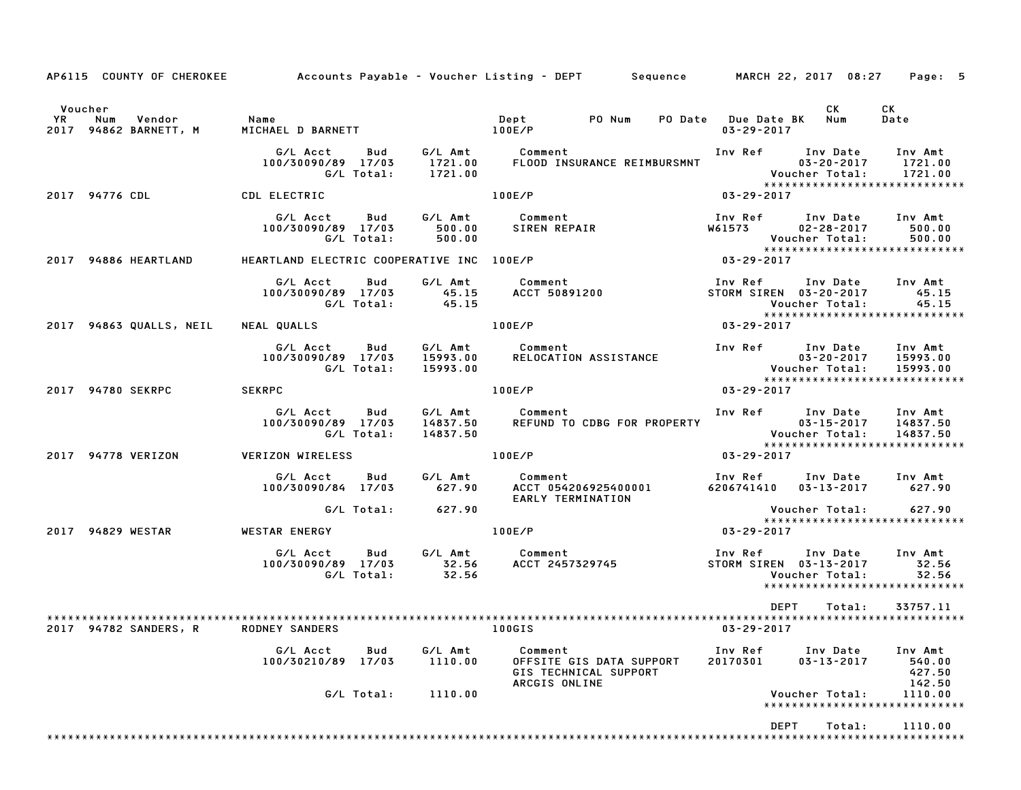|                                                             |                                                                                                                                                                                                                                |                      | AP6115 COUNTY OF CHEROKEE Accounts Payable - Voucher Listing - DEPT Sequence MARCH 22, 2017 08:27 Page: 5                                                                                                                               |                                                                                                               |                              |                                                    |
|-------------------------------------------------------------|--------------------------------------------------------------------------------------------------------------------------------------------------------------------------------------------------------------------------------|----------------------|-----------------------------------------------------------------------------------------------------------------------------------------------------------------------------------------------------------------------------------------|---------------------------------------------------------------------------------------------------------------|------------------------------|----------------------------------------------------|
| Voucher<br><b>YR</b><br>Num Vendor<br>2017 94862 BARNETT, M | Name and the state of the state of the state of the state of the state of the state of the state of the state of the state of the state of the state of the state of the state of the state of the state of the state of the s |                      |                                                                                                                                                                                                                                         | PO Date Due Date BK Num<br>03-29-2017                                                                         | CK                           | CK<br>Date                                         |
|                                                             |                                                                                                                                                                                                                                |                      | G/L Acct Bud G/L Amt Comment Inv Ref Inv Date Inv Amt<br>100/30090/89 17/03 1721.00 FLOOD INSURANCE REIMBURSMNT 03-20-2017 1721.00<br>G/L Total: 1721.00 FLOOD INSURANCE REIMBURSMNT Voucher Total: 1721.00<br>************************ |                                                                                                               |                              |                                                    |
| 2017 94776 CDL                                              | CDL ELECTRIC                                                                                                                                                                                                                   |                      | 100E/P                                                                                                                                                                                                                                  | $03 - 29 - 2017$                                                                                              |                              |                                                    |
|                                                             | G/L Total:                                                                                                                                                                                                                     | 500.00               | G/LAcct Bud G/LAmt Comment 1nvRef InvDate InvAmt<br>100/30090/89 17/03 500.00 SIRENREPAIR W61573 02-28-2017 500.00                                                                                                                      |                                                                                                               |                              | 500.00                                             |
| 2017 94886 HEARTLAND                                        | HEARTLAND ELECTRIC COOPERATIVE INC 100E/P                                                                                                                                                                                      |                      |                                                                                                                                                                                                                                         |                                                                                                               |                              |                                                    |
|                                                             |                                                                                                                                                                                                                                |                      |                                                                                                                                                                                                                                         | Inv Ref       Inv Date      Inv Amt<br>STORM SIREN   03-20-2017         45.15<br>Voucher Total:         45.15 |                              |                                                    |
| 2017 94863 QUALLS, NEIL                                     | NEAL QUALLS                                                                                                                                                                                                                    |                      | 100E/P                                                                                                                                                                                                                                  | $03 - 29 - 2017$                                                                                              |                              |                                                    |
|                                                             | G/L Acct Bud<br>100/30090/89 17/03<br>G/L Total:                                                                                                                                                                               |                      |                                                                                                                                                                                                                                         |                                                                                                               |                              |                                                    |
| 2017 94780 SEKRPC SEKRPC                                    |                                                                                                                                                                                                                                |                      | 100E/P                                                                                                                                                                                                                                  | $03 - 29 - 2017$                                                                                              |                              |                                                    |
|                                                             | G/L Acct Bud<br>100/30090/89 17/03<br>G/L Total:                                                                                                                                                                               | 14837.50<br>14837.50 | G/L Amt Comment                                                                                                                                                                                                                         |                                                                                                               |                              |                                                    |
| 2017 94778 VERIZON                                          | VERIZON WIRELESS AND RESERVE TO LOOK AND THE RESERVE TO A RESERVE THE RESERVE TO A RESERVE THE RESERVE THAT A STR                                                                                                              |                      |                                                                                                                                                                                                                                         | $03 - 29 - 2017$                                                                                              |                              |                                                    |
|                                                             | G/L Acct   Bud                                                                                                                                                                                                                 |                      | G/L Amt Comment<br>EARLY TERMINATION                                                                                                                                                                                                    | Inv Ref Inv Date Inv Amt<br>6206741410  03-13-2017  627.90                                                    |                              |                                                    |
|                                                             | G/L Total: 627.90                                                                                                                                                                                                              |                      |                                                                                                                                                                                                                                         | Voucher Total: 627.90<br>****************************                                                         |                              |                                                    |
| 2017 94829 WESTAR                                           | WESTAR ENERGY 100E/P                                                                                                                                                                                                           |                      |                                                                                                                                                                                                                                         | $03 - 29 - 2017$                                                                                              |                              |                                                    |
|                                                             |                                                                                                                                                                                                                                |                      | ur Url Amt Comment<br>100/30090/89 17/03 32.56 ACCT 2457329745<br>G/L Total: 32.56                                                                                                                                                      | Inv Ref      Inv Date     Inv Amt<br>STORM SIREN 03-13-2017 32.56<br>Voucher Total: 32.56                     | Voucher Total:               | 32.56<br>*****************************             |
| 94782 SANDERS, R<br>2017                                    | <b>RODNEY SANDERS</b>                                                                                                                                                                                                          |                      | <b>100GIS</b>                                                                                                                                                                                                                           | DEPT<br>$03 - 29 - 2017$                                                                                      | Total:                       | 33757.11                                           |
|                                                             | G/L Acct<br>Bud<br>100/30210/89 17/03                                                                                                                                                                                          | G/L Amt<br>1110.00   | Comment<br>OFFSITE GIS DATA SUPPORT<br>GIS TECHNICAL SUPPORT                                                                                                                                                                            | Inv Ref<br>20170301                                                                                           | Inv Date<br>$03 - 13 - 2017$ | Inv Amt<br>540.00<br>427.50                        |
|                                                             | G/L Total:                                                                                                                                                                                                                     | 1110.00              | ARCGIS ONLINE                                                                                                                                                                                                                           |                                                                                                               | Voucher Total:               | 142.50<br>1110.00<br>***************************** |
|                                                             |                                                                                                                                                                                                                                |                      |                                                                                                                                                                                                                                         | DEPT                                                                                                          | Total:                       | 1110.00                                            |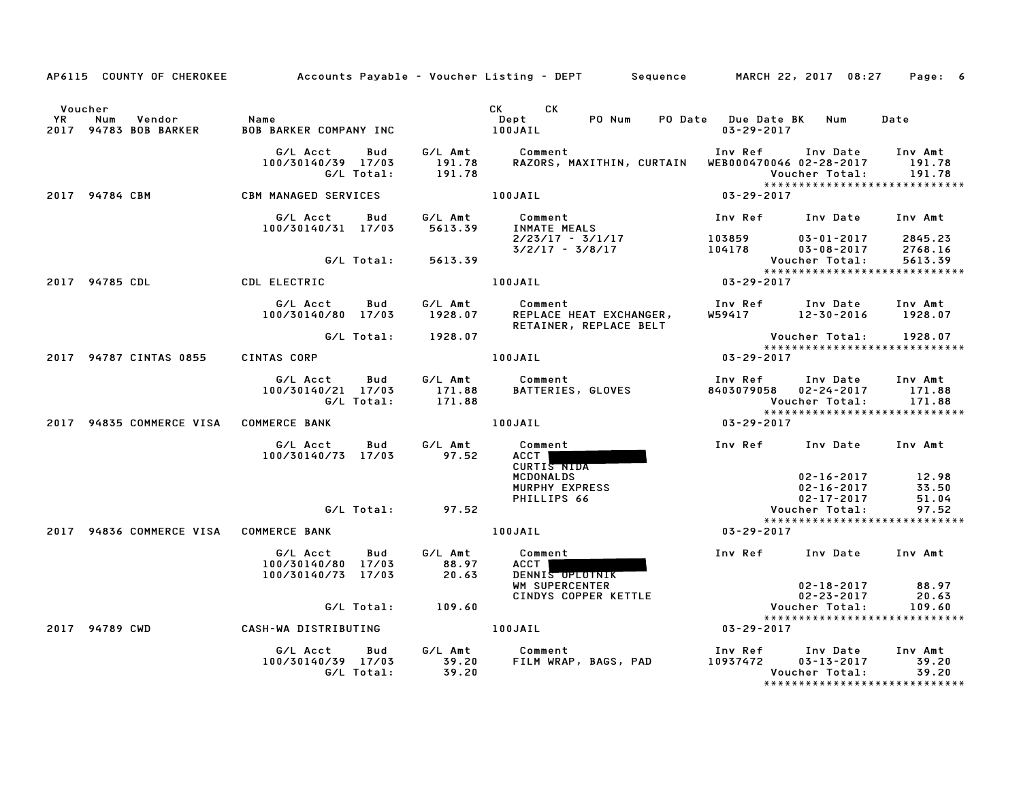|                      |                                        |                                                             |                             | AP6115 COUNTY OF CHEROKEE Accounts Payable - Voucher Listing - DEPT Sequence MARCH 22, 2017 08:27 |                                                |                                                          | Page: 6                                                       |
|----------------------|----------------------------------------|-------------------------------------------------------------|-----------------------------|---------------------------------------------------------------------------------------------------|------------------------------------------------|----------------------------------------------------------|---------------------------------------------------------------|
| Voucher<br><b>YR</b> | Num<br>Vendor<br>2017 94783 BOB BARKER | Name<br><b>BOB BARKER COMPANY INC</b>                       | 100JAIL                     | CK CK<br>Dept<br>PO Num                                                                           | PO Date Due Date BK Num<br>$03 - 29 - 2017$    |                                                          | Date                                                          |
|                      |                                        | G/L Acct<br>Bud<br>100/30140/39 17/03<br>G/L Total:         | 191.78<br>191.78            | G/L Amt Comment<br>RAZORS, MAXITHIN, CURTAIN WEB000470046 02-28-2017                              | Inv Ref                                        | Inv Date<br>Voucher Total:                               | Inv Amt<br>191.78<br>191.78                                   |
|                      | 2017 94784 CBM                         | <b>CBM MANAGED SERVICES</b>                                 |                             | 100JAIL                                                                                           | 03-29-2017                                     |                                                          |                                                               |
|                      |                                        | G/L Acct<br>Bud<br>100/30140/31 17/03                       | G/L Amt<br>5613.39          | Comment<br><b>INMATE MEALS</b><br>$2/23/17 - 3/1/17$                                              | Inv Ref Inv Date<br>103859                     | $03 - 01 - 2017$                                         | Inv Amt<br>2845.23                                            |
|                      |                                        | G/L Total:                                                  | 5613.39                     | $3/2/17 - 3/8/17$                                                                                 | 103859<br>104178                               | $03 - 08 - 2017$<br>Voucher Total:                       | 2768.16<br>5613.39<br>*****************************           |
|                      | 2017 94785 CDL                         | CDL ELECTRIC                                                |                             | 100JAIL                                                                                           | $03 - 29 - 2017$                               |                                                          |                                                               |
|                      |                                        | G/L Acct<br>Bud<br>100/30140/80 17/03                       | G/L Amt<br>1928.07          | Comment<br>REPLACE HEAT EXCHANGER,<br>RETAINER, REPLACE BELT                                      | Inv Ref Inv Date<br>W59417 12-30-2016          |                                                          | Inv Amt<br>1928.07                                            |
|                      |                                        | G/L Total:                                                  | 1928.07                     |                                                                                                   |                                                |                                                          | Voucher Total: 1928.07<br>****************************        |
|                      | 2017 94787 CINTAS 0855                 | CINTAS CORP                                                 |                             | 100JAIL                                                                                           | $03 - 29 - 2017$                               |                                                          |                                                               |
|                      |                                        | G/L Acct<br>Bud<br>100/30140/21 17/03<br>G/L Total:         | G/L Amt<br>171.88<br>171.88 | Comment<br>BATTERIES, GLOVES                                                                      | Inv Ref      Inv Date<br>8403079058 02-24-2017 | Voucher Total:                                           | Inv Amt<br>171.88<br>171.88<br>****************************** |
|                      | 2017 94835 COMMERCE VISA COMMERCE BANK |                                                             |                             | 100JAIL                                                                                           | 03-29-2017                                     |                                                          |                                                               |
|                      |                                        | G/L Acct<br>Bud<br>100/30140/73 17/03                       | G/L Amt<br>97.52            | Comment<br>ACCT  <br>CURTIS NIDA                                                                  | Inv Ref                                        | Inv Date                                                 | Inv Amt                                                       |
|                      |                                        |                                                             |                             | MCDONALDS<br>MURPHY EXPRESS<br>PHILLIPS 66                                                        |                                                | $02 - 16 - 2017$<br>$02 - 16 - 2017$<br>$02 - 17 - 2017$ | 12.98<br>33.50<br>51.04                                       |
|                      |                                        | G/L Total:                                                  | 97.52                       |                                                                                                   |                                                | Voucher Total:                                           | 97.52<br>******************************                       |
|                      | 2017 94836 COMMERCE VISA COMMERCE BANK |                                                             |                             | 100JAIL                                                                                           | 03-29-2017                                     |                                                          |                                                               |
|                      |                                        | G/L Acct<br>Bud<br>100/30140/80 17/03<br>100/30140/73 17/03 | G/L Amt<br>88.97<br>20.63   | Comment<br>ACCT  <br>DENNIS OPLOTNIK<br>WM SUPERCENTER                                            | Inv Ref Inv Date                               | $02 - 18 - 2017$                                         | Inv Amt<br>88.97                                              |
|                      |                                        | G/L Total:                                                  | 109.60                      | CINDYS COPPER KETTLE                                                                              |                                                | $02 - 23 - 2017$<br>Voucher Total:                       | 20.63<br>109.60                                               |
|                      | 2017 94789 CWD                         | CASH-WA DISTRIBUTING                                        |                             | 100JAIL                                                                                           | $03 - 29 - 2017$                               |                                                          | *****************************                                 |
|                      |                                        |                                                             |                             |                                                                                                   |                                                |                                                          |                                                               |
|                      |                                        | G/L Acct<br>Bud<br>100/30140/39 17/03<br>G/L Total:         | G/L Amt<br>39.20<br>39.20   | Comment<br>FILM WRAP, BAGS, PAD                                                                   | Inv Ref      Inv Date<br>10937472              | $03 - 13 - 2017$<br>Voucher Total:                       | Inv Amt<br>39.20<br>39.20                                     |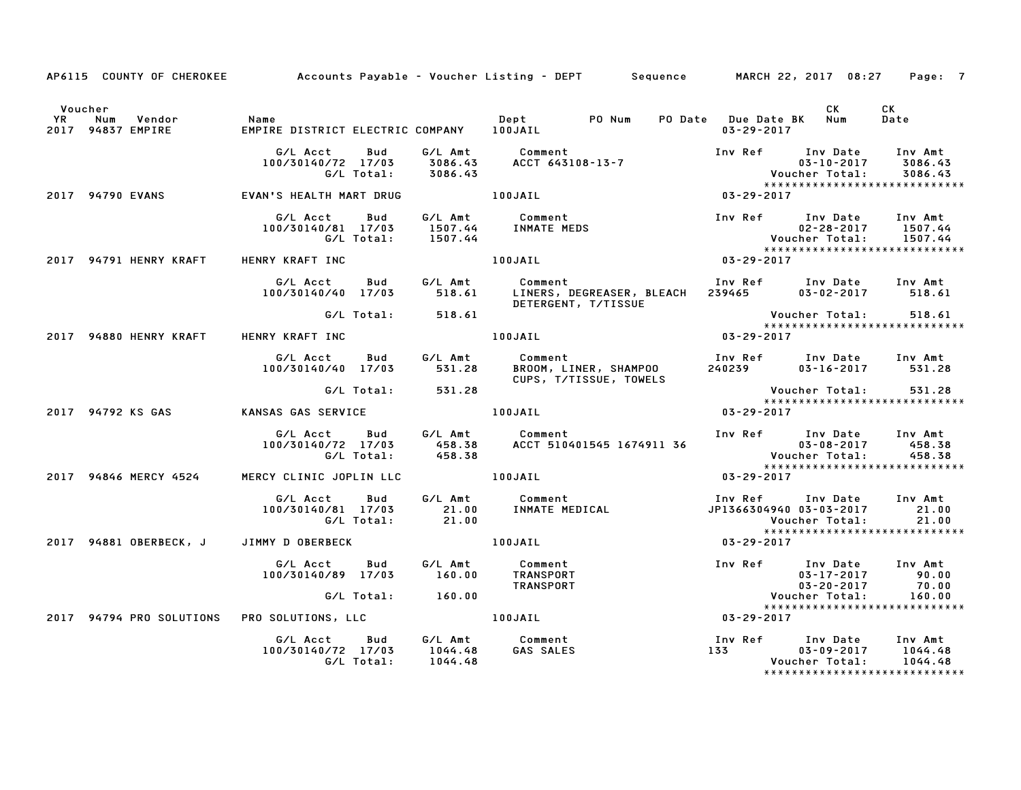|         |                                        |                                                                                                 | AP6115 COUNTY OF CHEROKEE Accounts Payable – Voucher Listing – DEPT Sequence MARCH 22, 2017 08:27 | Page: 7                                                                                                                                                                                                                                 |  |
|---------|----------------------------------------|-------------------------------------------------------------------------------------------------|---------------------------------------------------------------------------------------------------|-----------------------------------------------------------------------------------------------------------------------------------------------------------------------------------------------------------------------------------------|--|
| Voucher | YR Num Vendor<br>2017 94837 EMPIRE     | <b>Name</b>                                                                                     | Dept PO Num PO Date Due Date BK Num                                                               | CK<br>CK<br>Date<br>03-29-2017                                                                                                                                                                                                          |  |
|         |                                        |                                                                                                 |                                                                                                   | G/L Acct Bud G/L Amt Comment Inv Ref Inv Date Inv Amt<br>100/30140/72 17/03 3086.43 ACCT 643108-13-7 17 100/30140/72 17/03 3086.43<br>G/L Total: 3086.43 ACCT 643108-13-7 1111 1122 123086.43<br>AN'S HEALTH MART DRUG 100JAIL 100JAIL  |  |
|         | 2017 94790 EVANS                       | EVAN'S HEALTH MART DRUG <b>100JAIL</b>                                                          |                                                                                                   |                                                                                                                                                                                                                                         |  |
|         |                                        | G/L Acct Bud                                                                                    | G/L Amt Comment<br>100/30140/81 17/03 1507.44 INMATE MEDS<br>G/L Total: 1507.44 INMATE MEDS       | Inv Ref Inv Date Inv Amt<br>1907.44 INMATE MEDS<br>1507.44 IDOJATL 1997.44 Voucher Total: 1507.44<br>1997.44 Voucher Total: 1507.44<br>100JAIL 1997.44 203-29-2017                                                                      |  |
|         |                                        | 2017 94791 HENRY KRAFT HENRY KRAFT INC                                                          |                                                                                                   |                                                                                                                                                                                                                                         |  |
|         |                                        |                                                                                                 |                                                                                                   | G/L Acct Bud G/L Amt Comment Inv Ref Inv Date Inv Amt<br>100/30140/40 17/03 518.61 LINERS, DEGREASER, BLEACH 239465 03–02–2017 518.61                                                                                                   |  |
|         |                                        | G/L Total: 518.61                                                                               |                                                                                                   | DETERGENT, T/TISSUE<br>Total: 518.61<br>100JAIL 100JAIL 100JAIL 100JAIL 100JAIL 100JAIL 100JAIL 100JAIL 100JAIL 100JAIL 100JAIL 100JAIL 100JAIL 100JAIL                                                                                 |  |
|         | 2017 94880 HENRY KRAFT HENRY KRAFT INC |                                                                                                 |                                                                                                   |                                                                                                                                                                                                                                         |  |
|         |                                        |                                                                                                 | CUPS, T/TISSUE, TOWELS                                                                            | G/L Acct   Bud    G/L Amt      Comment                            Inv Ref    Inv Date   Inv Amt<br>100/30140/40   17/03       531.28      BROOM, LINER, SHAMPOO         240239        03–16–2017       531.28                           |  |
|         |                                        | G/L Total: 531.28                                                                               |                                                                                                   |                                                                                                                                                                                                                                         |  |
|         |                                        | 2017 94792 KS GAS           KANSAS GAS SERVICE                                                  | 100JAIL                                                                                           | Voucher Total: 531.28<br>*****************************<br>03-29-2017                                                                                                                                                                    |  |
|         |                                        |                                                                                                 |                                                                                                   | G/L Acct Bud G/L Amt Comment Inv Ref Inv Date Inv Amt<br>100/30140/72 17/03 458.38 ACCT 510401545 1674911 36 03-08-2017 458.38<br>6/L Total: 458.38 ACCT 510401545 1674911 36 Voucher Total: 458.38<br>******************************** |  |
|         |                                        | 2017 94846 MERCY 4524 MERCY CLINIC JOPLIN LLC 100JAIL                                           |                                                                                                   | $03 - 29 - 2017$                                                                                                                                                                                                                        |  |
|         |                                        |                                                                                                 |                                                                                                   | G/L Acct Bud G/L Amt Comment Inv Ref Inv Date Inv Amt<br>100/30140/81 17/03 21.00 INMATE MEDICAL JP1366304940 03-03-2017 21.00<br>1.00 06/L Total: 21.00 21.00 Voucher Total: 21.00<br>Voucher Total:<br>*****************************  |  |
|         |                                        | 2017 94881 OBERBECK, J JIMMY D OBERBECK                                                         | 100JAIL                                                                                           | $03 - 29 - 2017$                                                                                                                                                                                                                        |  |
|         |                                        |                                                                                                 |                                                                                                   | 6/L Acct Bud G/L Amt Comment Inv Ref Inv Date Inv Amt<br>100/30140/89 17/03 160.00 TRANSPORT 03-17-2017 90.00<br>6/L Total: 160.00 TRANSPORT 03-20-2017 70.00<br>2017 94794 PRO SOLUTIONS PRO SOLUTIONS, LLC 100JAIL 03-29-2017         |  |
|         |                                        |                                                                                                 |                                                                                                   | *****************************                                                                                                                                                                                                           |  |
|         |                                        |                                                                                                 |                                                                                                   |                                                                                                                                                                                                                                         |  |
|         |                                        | G/L Acct  Bud  G/L Amt  Comment<br>100/30140/72 17/03  1044.48  GAS SALES<br>G/L Total: 1044.48 |                                                                                                   | 1100    Ref    Env    Date    Inv    Amt<br>133    2017    1044.48<br>1044.48<br>Voucher Total:                                                                                                                                         |  |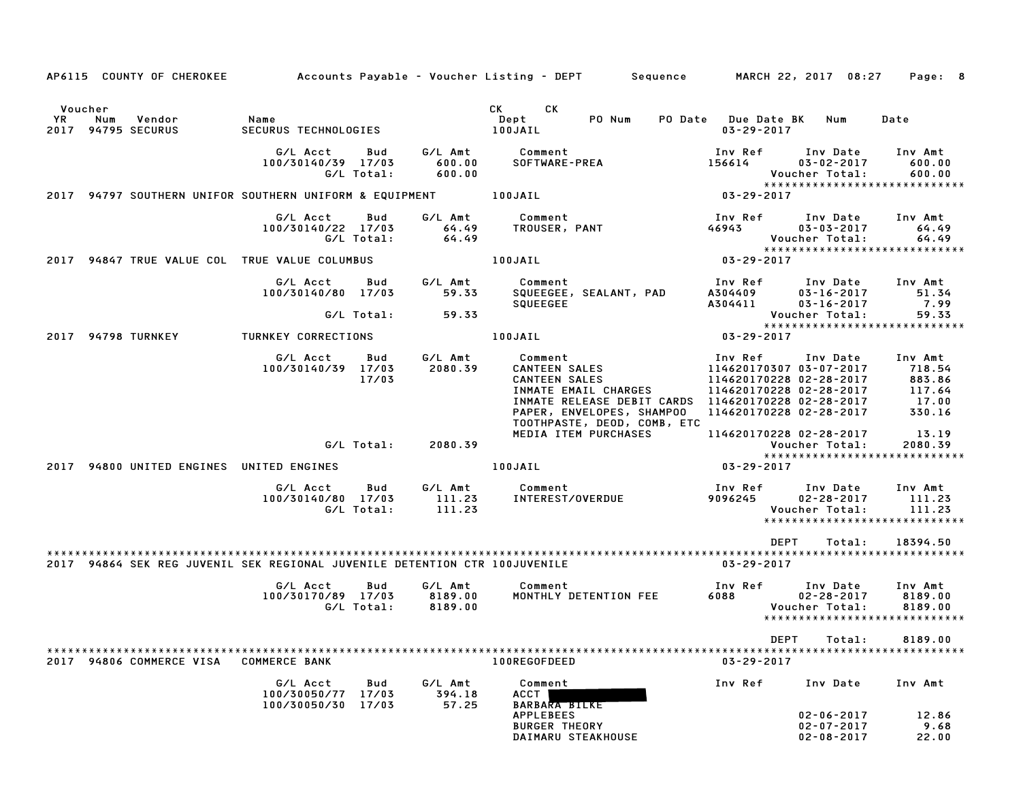|      |         | AP6115 COUNTY OF CHEROKEE           |                                                                            |                       |                               | Accounts Payable – Voucher Listing – DEPT         Sequence                                                                                                                |                                                                                                                                                | MARCH 22, 2017 08:27                                               | Page: 8                                                        |
|------|---------|-------------------------------------|----------------------------------------------------------------------------|-----------------------|-------------------------------|---------------------------------------------------------------------------------------------------------------------------------------------------------------------------|------------------------------------------------------------------------------------------------------------------------------------------------|--------------------------------------------------------------------|----------------------------------------------------------------|
|      | Voucher |                                     |                                                                            |                       |                               | <b>CK</b><br>CK                                                                                                                                                           |                                                                                                                                                |                                                                    |                                                                |
| YR   | Num     | Vendor<br>2017 94795 SECURUS        | Name<br>SECURUS TECHNOLOGIES                                               |                       |                               | Dept<br>PO Num<br>100JAIL                                                                                                                                                 | PO Date Due Date BK<br>$03 - 29 - 2017$                                                                                                        | Num                                                                | Date                                                           |
|      |         |                                     | G/L Acct<br>100/30140/39 17/03                                             | Bud<br>G/L Total:     | G/L Amt<br>600.00<br>600.00   | Comment<br>SOFTWARE-PREA                                                                                                                                                  | Inv Ref<br>156614                                                                                                                              | Inv Date<br>$03 - 02 - 2017$<br>Voucher Total:                     | Inv Amt<br>600.00<br>600.00                                    |
|      |         |                                     | 2017 94797 SOUTHERN UNIFOR SOUTHERN UNIFORM & EQUIPMENT                    |                       |                               | 100JAIL                                                                                                                                                                   | 03-29-2017                                                                                                                                     |                                                                    | *****************************                                  |
|      |         |                                     | G/L Acct<br>100/30140/22 17/03                                             | Bud<br>G/L Total:     | G/L Amt<br>64.49<br>64.49     | Comment<br>TROUSER, PANT                                                                                                                                                  | Inv Ref<br>46943                                                                                                                               | Inv Date<br>$03 - 03 - 2017$<br>Voucher Total:                     | Inv Amt<br>64.49<br>64.49<br>*****************************     |
|      |         |                                     | 2017 94847 TRUE VALUE COL TRUE VALUE COLUMBUS                              |                       |                               | 100JAIL                                                                                                                                                                   | $03 - 29 - 2017$                                                                                                                               |                                                                    |                                                                |
|      |         |                                     | G/L Acct<br>100/30140/80 17/03                                             | Bud<br>G/L Total:     | G/L Amt<br>59.33<br>59.33     | Comment<br>SQUEEGEE, SEALANT, PAD<br><b>SQUEEGEE</b>                                                                                                                      | Inv Ref<br>A304409<br>A304411                                                                                                                  | Inv Date<br>$03 - 16 - 2017$<br>$03 - 16 - 2017$<br>Voucher Total: | Inv Amt<br>51.34<br>7.99<br>59.33                              |
|      |         | 2017 94798 TURNKEY                  | TURNKEY CORRECTIONS                                                        |                       |                               | 100JAIL                                                                                                                                                                   | $03 - 29 - 2017$                                                                                                                               |                                                                    | ******************************                                 |
|      |         |                                     | G/L Acct<br>100/30140/39                                                   | Bud<br>17/03<br>17/03 | G/L Amt<br>2080.39            | Comment<br><b>CANTEEN SALES</b><br><b>CANTEEN SALES</b><br>INMATE EMAIL CHARGES<br>INMATE RELEASE DEBIT CARDS<br>PAPER, ENVELOPES, SHAMPOO<br>TOOTHPASTE, DEOD, COMB, ETC | Inv Ref<br>114620170307 03-07-2017<br>114620170228 02-28-2017<br>114620170228 02-28-2017<br>114620170228 02-28-2017<br>114620170228 02-28-2017 | Inv Date                                                           | Inv Amt<br>718.54<br>883.86<br>117.64<br>17.00<br>330.16       |
|      |         |                                     |                                                                            | G/L Total:            | 2080.39                       | MEDIA ITEM PURCHASES                                                                                                                                                      | 114620170228 02-28-2017                                                                                                                        | Voucher Total:                                                     | 13.19<br>2080.39                                               |
| 2017 |         | 94800 UNITED ENGINES UNITED ENGINES |                                                                            |                       |                               | 100JAIL                                                                                                                                                                   | $03 - 29 - 2017$                                                                                                                               |                                                                    | *****************************                                  |
|      |         |                                     | G/L Acct<br>100/30140/80 17/03                                             | Bud<br>G/L Total:     | G/L Amt<br>111.23<br>111.23   | Comment<br>INTEREST/OVERDUE                                                                                                                                               | Inv Ref<br>9096245                                                                                                                             | Inv Date<br>$02 - 28 - 2017$<br>Voucher Total:                     | Inv Amt<br>111.23<br>111.23<br>*****************************   |
|      |         |                                     |                                                                            |                       |                               |                                                                                                                                                                           | <b>DEPT</b>                                                                                                                                    | Total:                                                             | 18394.50                                                       |
|      |         |                                     | 2017 94864 SEK REG JUVENIL SEK REGIONAL JUVENILE DETENTION CTR 100JUVENILE |                       |                               |                                                                                                                                                                           | $03 - 29 - 2017$                                                                                                                               |                                                                    |                                                                |
|      |         |                                     | G/L Acct<br>100/30170/89 17/03                                             | Bud<br>G/L Total:     | G/L Amt<br>8189.00<br>8189.00 | Comment<br>MONTHLY DETENTION FEE                                                                                                                                          | Inv Ref<br>6088                                                                                                                                | Inv Date<br>$02 - 28 - 2017$<br>Voucher Total:                     | Inv Amt<br>8189.00<br>8189.00<br>***************************** |
|      |         |                                     |                                                                            |                       |                               |                                                                                                                                                                           | DEPT                                                                                                                                           | Total:                                                             | 8189.00                                                        |
|      |         | 2017 94806 COMMERCE VISA            | <b>COMMERCE BANK</b>                                                       |                       |                               | 100REGOFDEED                                                                                                                                                              | $03 - 29 - 2017$                                                                                                                               |                                                                    |                                                                |
|      |         |                                     | G/L Acct<br>100/30050/77<br>100/30050/30                                   | Bud<br>17/03<br>17/03 | G/L Amt<br>394.18<br>57.25    | Comment<br>ACCT<br><b>BARBARA BILKE</b>                                                                                                                                   | Inv Ref                                                                                                                                        | Inv Date                                                           | Inv Amt                                                        |
|      |         |                                     |                                                                            |                       |                               | <b>APPLEBEES</b><br><b>BURGER THEORY</b><br>DAIMARU STEAKHOUSE                                                                                                            |                                                                                                                                                | $02 - 06 - 2017$<br>$02 - 07 - 2017$<br>$02 - 08 - 2017$           | 12.86<br>9.68<br>22.00                                         |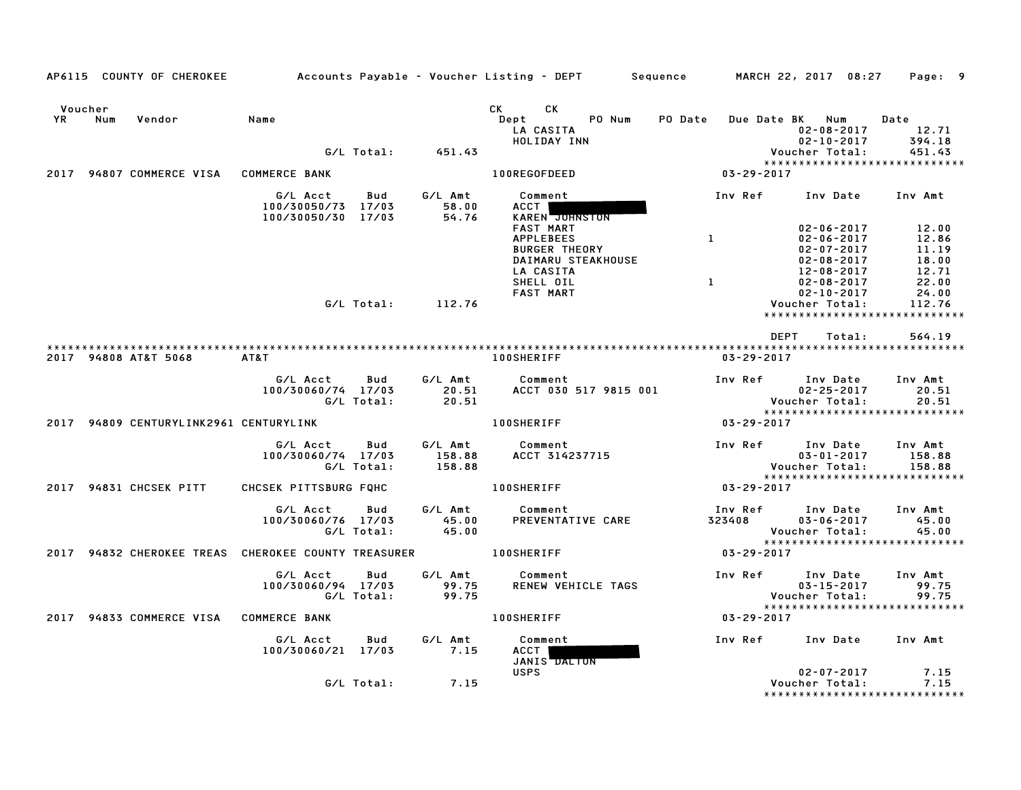|               |     | AP6115 COUNTY OF CHEROKEE              |                                                                   |                   |                             | Accounts Payable – Voucher Listing – DEPT         Sequence                                                                                                                                                                                                                          |                   | MARCH 22, 2017 08:27                                                         | Page: 9                           |
|---------------|-----|----------------------------------------|-------------------------------------------------------------------|-------------------|-----------------------------|-------------------------------------------------------------------------------------------------------------------------------------------------------------------------------------------------------------------------------------------------------------------------------------|-------------------|------------------------------------------------------------------------------|-----------------------------------|
| Voucher<br>YR | Num | Vendor                                 | Name                                                              | G/L Total:        | 451.43                      | CK and the set of the set of the set of the set of the set of the set of the set of the set of the set of the set of the set of the set of the set of the set of the set of the set of the set of the set of the set of the se<br>CK.<br>PO Num<br>Dept<br>LA CASITA<br>HOLIDAY INN | <b>PO Date</b>    | Due Date BK Num<br>02-08-2017<br>$02 - 10 - 2017$<br>Voucher Total:          | Date<br>12.71<br>394.18<br>451.43 |
|               |     |                                        |                                                                   |                   |                             |                                                                                                                                                                                                                                                                                     |                   | *****************************                                                |                                   |
|               |     | 2017 94807 COMMERCE VISA               | <b>COMMERCE BANK</b>                                              |                   |                             | 100REGOFDEED                                                                                                                                                                                                                                                                        | 03-29-2017        |                                                                              |                                   |
|               |     |                                        | G/L Acct<br>100/30050/73 17/03<br>100/30050/30 17/03              | Bud               | G/L Amt<br>58.00<br>54.76   | Comment<br>ACCT  <br>KAREN JUHNSTON                                                                                                                                                                                                                                                 | Inv Ref           | Inv Date Inv Amt                                                             |                                   |
|               |     |                                        |                                                                   |                   |                             | <b>FAST MART</b><br><b>APPLEBEES</b><br><b>BURGER THEORY</b><br>DAIMARU STEAKHOUSE                                                                                                                                                                                                  | $\mathbf{1}$      | $02 - 06 - 2017$<br>$02 - 06 - 2017$<br>$02 - 07 - 2017$<br>$02 - 08 - 2017$ | 12.00<br>12.86<br>11.19<br>18.00  |
|               |     |                                        |                                                                   |                   |                             | LA CASITA<br>SHELL OIL<br><b>FAST MART</b>                                                                                                                                                                                                                                          | $\mathbf{1}$      | 12-08-2017<br>$02 - 08 - 2017$<br>$02 - 10 - 2017$                           | 12.71<br>22.00<br>24.00           |
|               |     |                                        |                                                                   | G/L Total:        | 112.76                      |                                                                                                                                                                                                                                                                                     |                   | Voucher Total:<br>*****************************                              | 112.76                            |
|               |     | 2017 94808 AT&T 5068                   | AT&T                                                              |                   |                             | <b>100SHERIFF</b>                                                                                                                                                                                                                                                                   | $03 - 29 - 2017$  | DEPT<br>Total:                                                               | 564.19                            |
|               |     |                                        | G/L Acct<br>100/30060/74 17/03                                    | Bud<br>G/L Total: | G/L Amt<br>20.51<br>20.51   | Comment<br>ACCT 030 517 9815 001                                                                                                                                                                                                                                                    | Inv Ref           | Inv Date<br>$02 - 25 - 2017$<br>Voucher Total:                               | Inv Amt<br>20.51<br>20.51         |
|               |     | 2017 94809 CENTURYLINK2961 CENTURYLINK |                                                                   |                   |                             | <b>100SHERIFF</b>                                                                                                                                                                                                                                                                   | 03-29-2017        |                                                                              |                                   |
|               |     |                                        | G/L Acct<br>100/30060/74 17/03                                    | Bud<br>G/L Total: | G/L Amt<br>158.88<br>158.88 | Comment<br>ACCT 314237715                                                                                                                                                                                                                                                           | Inv Ref           | Inv Date<br>$03 - 01 - 2017$<br>Voucher Total:                               | Inv Amt<br>158.88<br>158.88       |
|               |     | 2017 94831 CHCSEK PITT                 | CHCSEK PITTSBURG FOHC                                             |                   |                             | <b>100SHERIFF</b>                                                                                                                                                                                                                                                                   | 03-29-2017        | *****************************                                                |                                   |
|               |     |                                        | G/L Acct<br>100/30060/76 17/03                                    | Bud<br>G/L Total: | G/L Amt<br>45.00<br>45.00   | Comment<br>PREVENTATIVE CARE                                                                                                                                                                                                                                                        | Inv Ref<br>323408 | Inv Date<br>$03 - 06 - 2017$<br>Voucher Total:                               | Inv Amt<br>45.00<br>45.00         |
|               |     |                                        | 2017 94832 CHEROKEE TREAS CHEROKEE COUNTY TREASURER 40 100SHERIFF |                   |                             |                                                                                                                                                                                                                                                                                     | 03-29-2017        | *****************************                                                |                                   |
|               |     |                                        | G/L Acct<br>100/30060/94 17/03                                    | Bud<br>G/L Total: | G/L Amt<br>99.75<br>99.75   | Comment<br>RENEW VEHICLE TAGS                                                                                                                                                                                                                                                       | Inv Ref           | Inv Date<br>$03 - 15 - 2017$<br>Voucher Total:                               | Inv Amt<br>99.75<br>99.75         |
|               |     | 2017 94833 COMMERCE VISA COMMERCE BANK |                                                                   |                   |                             | <b>100SHERIFF</b>                                                                                                                                                                                                                                                                   | 03-29-2017        | *****************************                                                |                                   |
|               |     |                                        | G/L Acct<br>100/30060/21 17/03                                    | Bud               | G/L Amt<br>7.15             | Comment<br>ACCT<br>JANIS DALTON                                                                                                                                                                                                                                                     | Inv Ref           | Inv Date                                                                     | Inv Amt                           |
|               |     |                                        |                                                                   | G/L Total:        | 7.15                        | <b>USPS</b>                                                                                                                                                                                                                                                                         |                   | $02 - 07 - 2017$<br>Voucher Total:<br>*****************************          | 7.15<br>7.15                      |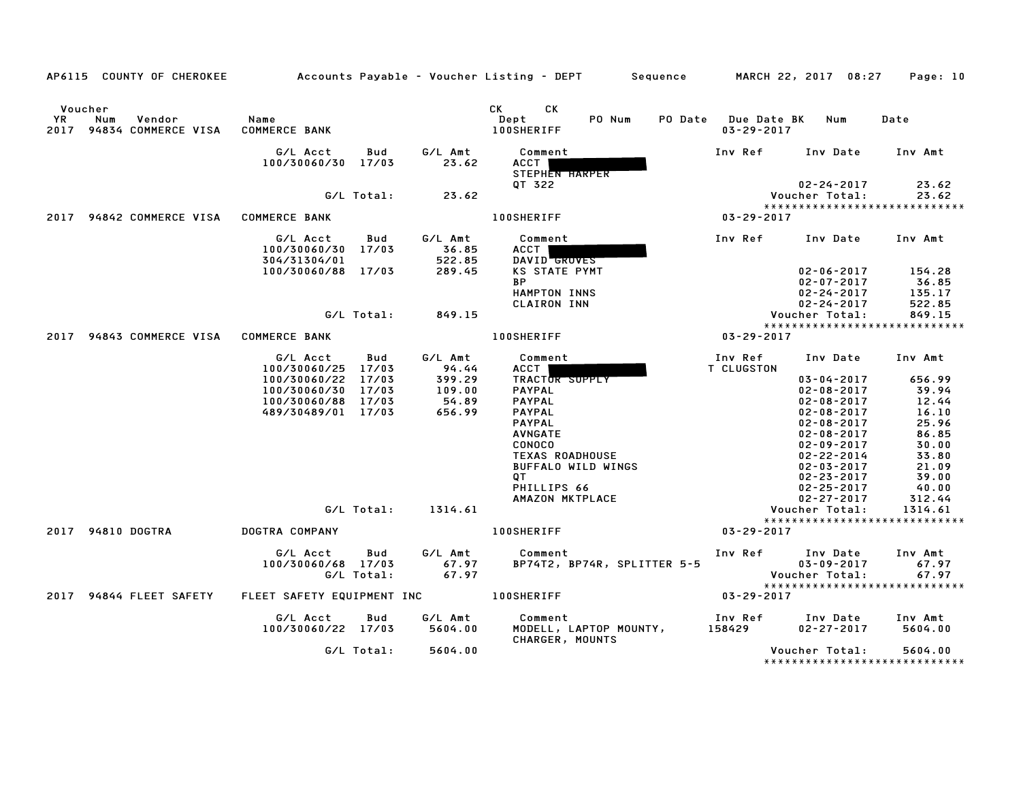|                      | AP6115 COUNTY OF CHEROKEE                 |                                              |                                  | Accounts Payable – Voucher Listing – DEPT         Sequence         MARCH 22, 2017  08:27 |                                                            | Page: 10                                 |
|----------------------|-------------------------------------------|----------------------------------------------|----------------------------------|------------------------------------------------------------------------------------------|------------------------------------------------------------|------------------------------------------|
| Voucher<br><b>YR</b> | Num<br>Vendor<br>2017 94834 COMMERCE VISA | Name<br><b>COMMERCE BANK</b>                 |                                  | CK L<br>CK<br>PO Num<br>Dept<br><b>100SHERIFF</b>                                        | PO Date Due Date BK<br>Num<br>$03 - 29 - 2017$             | Date                                     |
|                      |                                           | G/L Acct<br>100/30060/30 17/03               | G/L Amt<br>Bud<br>23.62          | Comment<br>ACCT  <br>STEPHEN HARPER                                                      | Inv Ref<br>Inv Date                                        | Inv Amt                                  |
|                      |                                           | G/L Total:                                   | 23.62                            | OT 322                                                                                   | 02-24-2017<br>Voucher Total:                               | 23.62<br>23.62                           |
|                      |                                           |                                              |                                  |                                                                                          |                                                            |                                          |
|                      | 2017 94842 COMMERCE VISA COMMERCE BANK    |                                              |                                  | <b>100SHERIFF</b>                                                                        | 03-29-2017                                                 |                                          |
|                      |                                           | G/L Acct<br>100/30060/30 17/03               | G/L Amt<br>Bud<br>36.85          | Comment<br>ACCT                                                                          | Inv Ref Inv Date Inv Amt                                   |                                          |
|                      |                                           | 304/31304/01<br>100/30060/88 17/03           | 522.85<br>289.45                 | DAVID GROVES<br><b>KS STATE PYMT</b>                                                     | $02 - 06 - 2017$                                           | 154.28                                   |
|                      |                                           |                                              |                                  | <b>BP</b><br>HAMPTON INNS<br><b>CLAIRON INN</b>                                          | $02 - 07 - 2017$<br>$02 - 24 - 2017$<br>$02 - 24 - 2017$   | 36.85<br>135.17<br>522.85                |
|                      |                                           | G/L Total:                                   | 849.15                           |                                                                                          | Voucher Total:                                             | 849.15                                   |
|                      | 2017 94843 COMMERCE VISA COMMERCE BANK    |                                              |                                  | <b>100SHERIFF</b>                                                                        | 03-29-2017                                                 | *****************************            |
|                      |                                           |                                              |                                  |                                                                                          |                                                            |                                          |
|                      |                                           | G/L Acct<br>100/30060/25 17/03               | Bud<br>G/L Amt<br>94.44          | Comment<br>ACCT                                                                          | Inv Ref      Inv Date     Inv Amt<br>T CLUGSTON            |                                          |
|                      |                                           | 100/30060/22 17/03                           | 399.29                           | TRACTOR SUPPLY                                                                           | $03 - 04 - 2017$                                           | 656.99                                   |
|                      |                                           | 100/30060/30 17/03                           | 109.00                           | <b>PAYPAL</b>                                                                            | $02 - 08 - 2017$                                           | 39.94                                    |
|                      |                                           | 100/30060/88 17/03                           | 54.89                            | PAYPAL                                                                                   | $02 - 08 - 2017$                                           | 12.44                                    |
|                      |                                           | 489/30489/01 17/03                           | 656.99                           | <b>PAYPAL</b>                                                                            | $02 - 08 - 2017$                                           | 16.10                                    |
|                      |                                           |                                              |                                  | <b>PAYPAL</b>                                                                            | $02 - 08 - 2017$                                           | 25.96                                    |
|                      |                                           |                                              |                                  | <b>AVNGATE</b>                                                                           | $02 - 08 - 2017$                                           | 86.85                                    |
|                      |                                           |                                              |                                  | <b>CONOCO</b><br>TEXAS ROADHOUSE                                                         | $02 - 09 - 2017$<br>02-22-2014                             | 30.00<br>33.80                           |
|                      |                                           |                                              |                                  | BUFFALO WILD WINGS                                                                       | 02-03-2017                                                 | 21.09                                    |
|                      |                                           |                                              |                                  | QT .                                                                                     | $02 - 23 - 2017$                                           | 39.00                                    |
|                      |                                           |                                              |                                  | PHILLIPS 66                                                                              | $02 - 25 - 2017$                                           | 40.00                                    |
|                      |                                           |                                              |                                  | AMAZON MKTPLACE                                                                          | 02-27-2017                                                 | 312.44                                   |
|                      |                                           |                                              | G/L Total: 1314.61               |                                                                                          | Voucher Total:                                             | 1314.61                                  |
|                      |                                           |                                              |                                  |                                                                                          |                                                            | ******************************           |
|                      | 2017 94810 DOGTRA                         | DOGTRA COMPANY                               |                                  | <b>100SHERIFF</b>                                                                        | 03-29-2017                                                 |                                          |
|                      |                                           | G/L Acct<br>100/30060/68 17/03<br>G/L Total: | Bud<br>G/L Amt<br>67.97<br>67.97 | Comment<br>BP74T2, BP74R, SPLITTER 5-5                                                   | Inv Ref     Inv Date<br>$03 - 09 - 2017$<br>Voucher Total: | Inv Amt<br>67.97<br>67.97                |
|                      |                                           |                                              |                                  |                                                                                          |                                                            | *****************************            |
|                      | 2017 94844 FLEET SAFETY                   | FLEET SAFETY EQUIPMENT INC 100SHERIFF        |                                  |                                                                                          | $03 - 29 - 2017$                                           |                                          |
|                      |                                           | G/L Acct<br>100/30060/22 17/03               | Bud<br>G∕L Amt<br>5604.00        | Comment<br>MODELL, LAPTOP MOUNTY,<br>CHARGER, MOUNTS                                     | Inv Ref      Inv Date<br>158429<br>02-27-2017              | Inv Amt<br>5604.00                       |
|                      |                                           |                                              | G/L Total: 5604.00               |                                                                                          | Voucher Total:                                             | 5604.00<br>***************************** |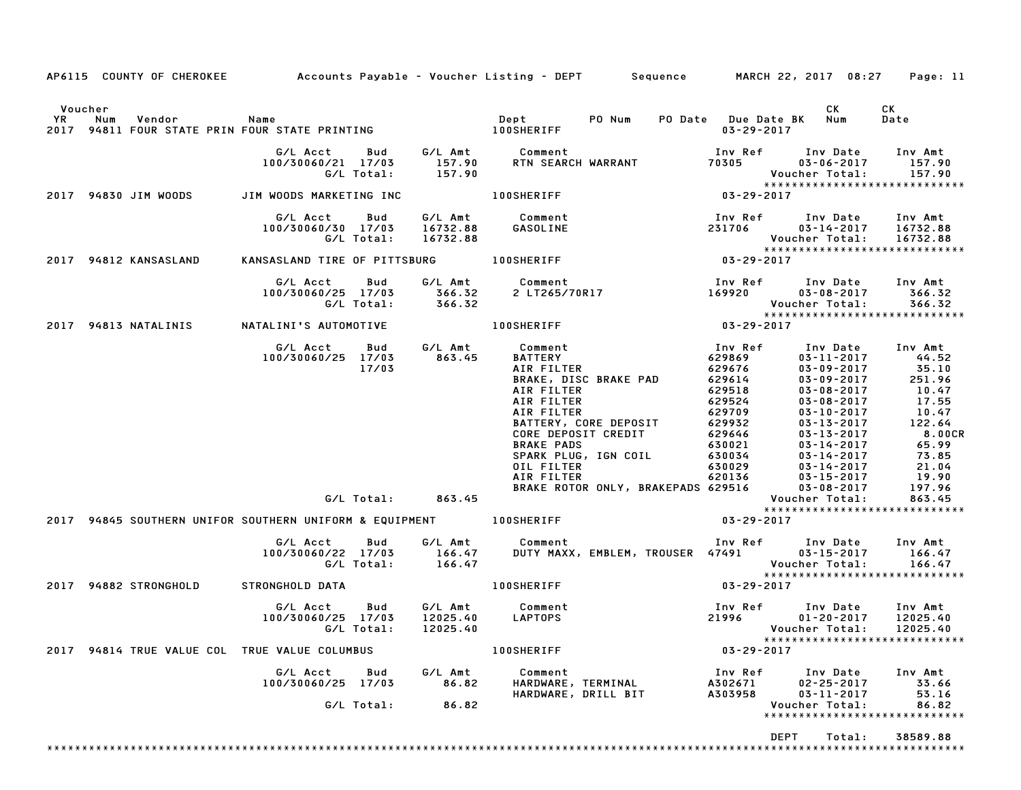|                                                                                                                         |                                                    |                                        | AP6115 COUNTY OF CHEROKEE Accounts Payable – Voucher Listing – DEPT Sequence MARCH 22, 2017 08:27                                                                                                                                                                                |                                                                                                                                 |                                                                                                                                                                                                                                                                  | Page: 11                                                                                                                         |
|-------------------------------------------------------------------------------------------------------------------------|----------------------------------------------------|----------------------------------------|----------------------------------------------------------------------------------------------------------------------------------------------------------------------------------------------------------------------------------------------------------------------------------|---------------------------------------------------------------------------------------------------------------------------------|------------------------------------------------------------------------------------------------------------------------------------------------------------------------------------------------------------------------------------------------------------------|----------------------------------------------------------------------------------------------------------------------------------|
| Voucher<br>YR Num Vendor – Name – Name – Dept – PO Num<br>2017 94811 FOUR STATE PRIN FOUR STATE PRINTING – – 100SHERIFF |                                                    |                                        |                                                                                                                                                                                                                                                                                  | PO Date Due Date BK Num<br>$03 - 29 - 2017$                                                                                     | CK                                                                                                                                                                                                                                                               | СK<br>Date                                                                                                                       |
|                                                                                                                         | G/L Acct   Bud<br>100/30060/21 17/03<br>G/L Total: | 157.90<br>157.90                       | G/L Amt Comment<br>RTN SEARCH WARRANT                                                                                                                                                                                                                                            | 70305                                                                                                                           | Inv Ref      Inv Date<br>$03 - 06 - 2017$<br>Voucher Total:<br>*****************************                                                                                                                                                                     | Inv Amt<br>157.90<br>157.90                                                                                                      |
| 2017 94830 JIM WOODS                                                                                                    | JIM WOODS MARKETING INC                            |                                        | <b>100SHERIFF</b>                                                                                                                                                                                                                                                                | $03 - 29 - 2017$                                                                                                                |                                                                                                                                                                                                                                                                  |                                                                                                                                  |
|                                                                                                                         | G/L Acct<br>100/30060/30 17/03<br>G/L Total:       | G/L Amt<br>Bud<br>16732.88<br>16732.88 | Comment<br>GASOLINE                                                                                                                                                                                                                                                              | Inv Ref<br>231706                                                                                                               | Inv Date<br>03-14-2017<br>Voucher Total:<br>*****************************                                                                                                                                                                                        | Inv Amt<br>16732.88<br>16732.88                                                                                                  |
| 2017 94812 KANSASLAND                                                                                                   | KANSASLAND TIRE OF PITTSBURG 100SHERIFF            |                                        |                                                                                                                                                                                                                                                                                  | $03 - 29 - 2017$                                                                                                                |                                                                                                                                                                                                                                                                  |                                                                                                                                  |
|                                                                                                                         | G/L Acct<br>100/30060/25 17/03<br>G/L Total:       | Bud<br>366.32<br>366.32                | G/L Amt Comment<br>2 LT265/70R17                                                                                                                                                                                                                                                 | Inv Ref<br>169920                                                                                                               | Inv Date<br>03-08-2017<br>Voucher Total:<br>*****************************                                                                                                                                                                                        | Inv Amt<br>366.32<br>366.32                                                                                                      |
| 2017 94813 NATALINIS                                                                                                    | NATALINI'S AUTOMOTIVE                              |                                        | <b>100SHERIFF</b>                                                                                                                                                                                                                                                                | $03 - 29 - 2017$                                                                                                                |                                                                                                                                                                                                                                                                  |                                                                                                                                  |
|                                                                                                                         | G/L Acct<br>100/30060/25 17/03                     | G/L Amt<br>Bud<br>863.45<br>17/03      | Comment<br><b>BATTERY</b><br>AIR FILTER<br><b>BRAKE, DISC BRAKE PAD</b><br>AIR FILTER<br>AIR FILTER<br>AIR FILTER<br>BATTERY, CORE DEPOSIT<br>CORE DEPOSIT CREDIT<br><b>BRAKE PADS</b><br>SPARK PLUG, IGN COIL<br>OIL FILTER<br>AIR FILTER<br>BRAKE ROTOR ONLY, BRAKEPADS 629516 | Inv Ref<br>629869<br>629676<br>629614<br>629518<br>629524<br>629709<br>629932<br>629646<br>630021<br>630034<br>630029<br>620136 | Inv Date<br>$03 - 11 - 2017$<br>$03 - 09 - 2017$<br>$03 - 09 - 2017$<br>$03 - 08 - 2017$<br>$03 - 08 - 2017$<br>$03 - 10 - 2017$<br>$03 - 13 - 2017$<br>$03 - 13 - 2017$<br>$03 - 14 - 2017$<br>03-14-2017<br>03-14-2017<br>$03 - 15 - 2017$<br>$03 - 08 - 2017$ | Inv Amt<br>44.52<br>35.10<br>251.96<br>10.47<br>17.55<br>10.47<br>122.64<br>8.00CR<br>65.99<br>73.85<br>21.04<br>19.90<br>197.96 |
|                                                                                                                         |                                                    | G/L Total: 863.45                      |                                                                                                                                                                                                                                                                                  |                                                                                                                                 | Voucher Total:<br>*****************************                                                                                                                                                                                                                  | 863.45                                                                                                                           |
| 2017 94845 SOUTHERN UNIFOR SOUTHERN UNIFORM & EQUIPMENT 100SHERIFF                                                      |                                                    |                                        |                                                                                                                                                                                                                                                                                  | $03 - 29 - 2017$                                                                                                                |                                                                                                                                                                                                                                                                  |                                                                                                                                  |
|                                                                                                                         | G/L Acct<br>100/30060/22 17/03<br>G/L Total:       | G/L Amt<br>Bud<br>166.47<br>166.47     | Comment<br>DUTY MAXX, EMBLEM, TROUSER 47491                                                                                                                                                                                                                                      |                                                                                                                                 | Inv Ref Inv Date<br>$03 - 15 - 2017$<br>Voucher Total:<br>******************************                                                                                                                                                                         | Inv Amt<br>166.47<br>166.47                                                                                                      |
| 2017 94882 STRONGHOLD                                                                                                   | STRONGHOLD DATA                                    |                                        | <b>100SHERIFF</b>                                                                                                                                                                                                                                                                | 03-29-2017                                                                                                                      |                                                                                                                                                                                                                                                                  |                                                                                                                                  |
|                                                                                                                         | G/L Acct<br>100/30060/25 17/03<br>G/L Total:       | Bud<br>G/L Amt<br>12025.40<br>12025.40 | Comment<br>LAPTOPS                                                                                                                                                                                                                                                               | Inv Ref<br>21996                                                                                                                | Inv Date<br>$01 - 20 - 2017$<br>Voucher Total: 12025.40<br>*****************************                                                                                                                                                                         | Inv Amt<br>12025.40                                                                                                              |
| 2017 94814 TRUE VALUE COL TRUE VALUE COLUMBUS                                                                           |                                                    |                                        | <b>100SHERIFF</b>                                                                                                                                                                                                                                                                | $03 - 29 - 2017$                                                                                                                |                                                                                                                                                                                                                                                                  |                                                                                                                                  |
|                                                                                                                         | G/L Acct<br>100/30060/25 17/03<br>G/L Total:       | G/L Amt<br>Bud<br>86.82<br>86.82       | Comment<br>HARDWARE, TERMINAL<br>HARDWARE, DRILL BIT                                                                                                                                                                                                                             | Inv Ref<br>A302671<br>A303958                                                                                                   | Inv Date<br>$02 - 25 - 2017$<br>$03 - 11 - 2017$<br>Voucher Total:<br>*****************************                                                                                                                                                              | Inv Amt<br>33.66<br>53.16<br>86.82                                                                                               |
|                                                                                                                         |                                                    |                                        |                                                                                                                                                                                                                                                                                  |                                                                                                                                 | DEPT<br>Total:                                                                                                                                                                                                                                                   | 38589.88                                                                                                                         |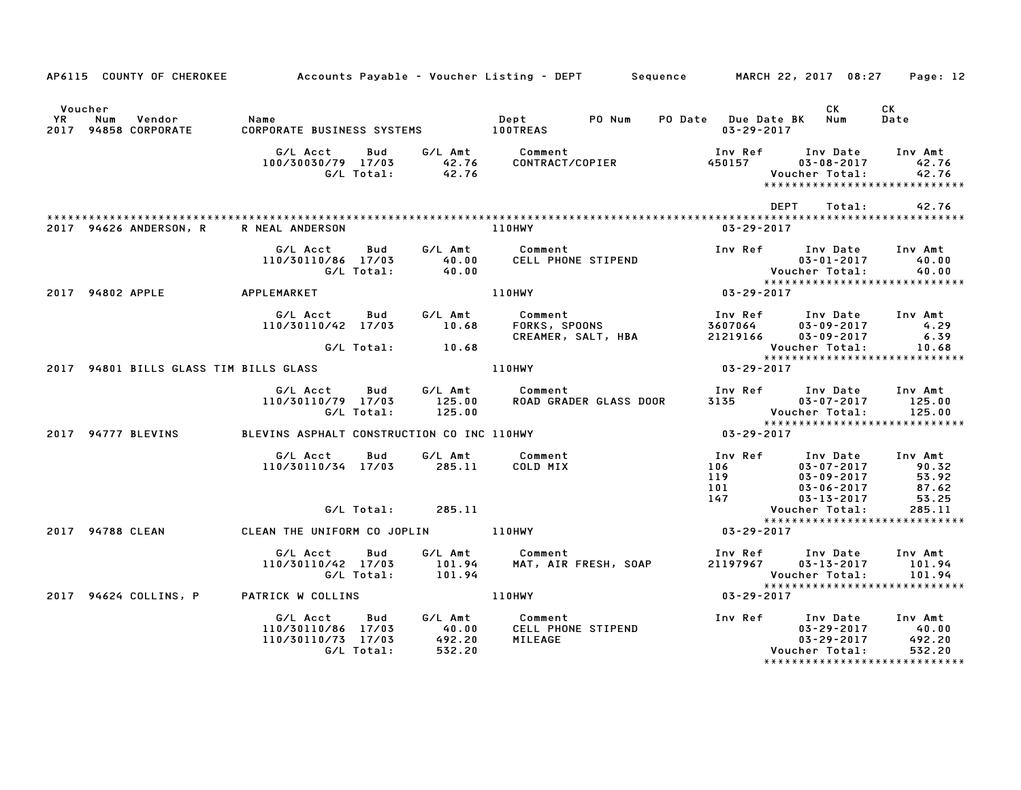|               | AP6115 COUNTY OF CHEROKEE         Accounts Payable – Voucher Listing – DEPT     Sequence     MARCH 22, 2017 08:27 |                                                      |                   |                           |                                               |                                                |                                         |                                                                                                                                                                                         | Page: 12                                    |
|---------------|-------------------------------------------------------------------------------------------------------------------|------------------------------------------------------|-------------------|---------------------------|-----------------------------------------------|------------------------------------------------|-----------------------------------------|-----------------------------------------------------------------------------------------------------------------------------------------------------------------------------------------|---------------------------------------------|
| Voucher<br>YR | Vendor<br>Num<br>2017 94858 CORPORATE                                                                             | Name                                                 |                   |                           | Dept                                          | PO Num                                         | PO Date Due Date BK<br>$03 - 29 - 2017$ | CK<br>Num                                                                                                                                                                               | CK<br>Date                                  |
|               |                                                                                                                   | G/L Acct<br>100/30030/79 17/03                       | Bud<br>G/L Total: | 42.76<br>42.76            | G/L Amt Comment<br>42.76 CONTRACT/COPIER      | CONTRACT/COPIER                                | 450157                                  | Inv Ref      Inv Date<br>$03 - 08 - 2017$<br>Voucher Total:<br>*****************************                                                                                            | Inv Amt<br>42.76<br>42.76                   |
|               | 2017 94626 ANDERSON, R                                                                                            | R NEAL ANDERSON                                      |                   |                           | 110HWY                                        |                                                | $03 - 29 - 2017$                        | DEPT<br>Total:                                                                                                                                                                          | 42.76                                       |
|               |                                                                                                                   | G/L Acct<br>110/30110/86 17/03                       | Bud<br>G/L Total: | G/L Amt<br>40.00<br>40.00 | Comment                                       | CELL PHONE STIPEND                             |                                         | Inv Ref Inv Date                                                                                                                                                                        | Inv Amt                                     |
|               | 2017 94802 APPLE                                                                                                  | APPLEMARKET                                          |                   |                           | 110HWY                                        |                                                | $03 - 29 - 2017$                        |                                                                                                                                                                                         |                                             |
|               |                                                                                                                   | G/L Acct<br>110/30110/42 17/03                       | Bud               | G/L Amt<br>10.68          |                                               | Comment<br>FORKS, SPOONS<br>CREAMER, SALT, HBA | Inv Ref<br>3607064<br>21219166          | Inv Date<br>$03 - 09 - 2017$<br>$03 - 09 - 2017$                                                                                                                                        | Inv Amt<br>4.29<br>6.39                     |
|               |                                                                                                                   |                                                      | G/L Total:        | 10.68                     |                                               |                                                |                                         | Voucher Total:<br>*****************************                                                                                                                                         | 10.68                                       |
|               | 2017 94801 BILLS GLASS TIM BILLS GLASS                                                                            |                                                      |                   |                           | 110HWY                                        |                                                | 03-29-2017                              |                                                                                                                                                                                         |                                             |
|               |                                                                                                                   | G/L Acct<br>110/30110/79 17/03                       | Bud<br>G/L Total: | 125.00<br>125.00          | G/L Amt Comment                               | <b>ROAD GRADER GLASS DOOR</b>                  | 3135                                    | Inv Ref Inv Date<br>$03 - 07 - 2017$<br>Voucher Total:                                                                                                                                  | Inv Amt<br>125.00<br>125.00                 |
|               | 2017 94777 BLEVINS                                                                                                | BLEVINS ASPHALT CONSTRUCTION CO INC 110HWY           |                   |                           |                                               |                                                | $03 - 29 - 2017$                        | ******************************                                                                                                                                                          |                                             |
|               |                                                                                                                   | G/L Acct<br>110/30110/34 17/03                       | Bud               | G/L Amt<br>285.11         | Comment<br>COLD MIX                           |                                                | Inv Ref<br>106<br>119                   | Inv Date<br>$03 - 07 - 2017$<br>$03 - 09 - 2017$<br>$\begin{array}{cc}\n 117 \\  101 \\  147\n \end{array}$ $\begin{array}{cc}\n 030092017 \\  03-06-2017 \\  03-13-2017\n \end{array}$ | Inv Amt<br>90.32<br>53.92<br>87.62<br>53.25 |
|               |                                                                                                                   |                                                      | G/L Total:        | 285.11                    |                                               |                                                |                                         | Voucher Total:                                                                                                                                                                          | 285.11                                      |
|               | 2017 94788 CLEAN                                                                                                  | CLEAN THE UNIFORM CO JOPLIN 110HWY                   |                   |                           |                                               |                                                | 03-29-2017                              | *****************************                                                                                                                                                           |                                             |
|               |                                                                                                                   | G/L Acct<br>110/30110/42 17/03                       | Bud<br>G/L Total: | 101.94<br>101.94          | G/L Amt Comment                               | MAT, AIR FRESH, SOAP                           | 21197967                                | Inv Ref Inv Date<br>$03 - 13 - 2017$<br>Voucher Total:                                                                                                                                  | Inv Amt<br>101.94<br>101.94                 |
|               | 2017 94624 COLLINS, P                                                                                             | PATRICK W COLLINS                                    |                   |                           | 110HWY                                        |                                                | 03-29-2017                              | ******************************                                                                                                                                                          |                                             |
|               |                                                                                                                   | G/L Acct<br>110/30110/86 17/03<br>110/30110/73 17/03 | Bud<br>G/L Total: | 40.00<br>492.20<br>532.20 | G/L Amt Comment<br>40.00 CELL PHON<br>MILEAGE | CELL PHONE STIPEND                             |                                         | Inv Ref Inv Date<br>$03 - 29 - 2017$<br>$03 - 29 - 2017$<br>Voucher Total:<br>******************************                                                                            | Inv Amt<br>40.00<br>492.20<br>532.20        |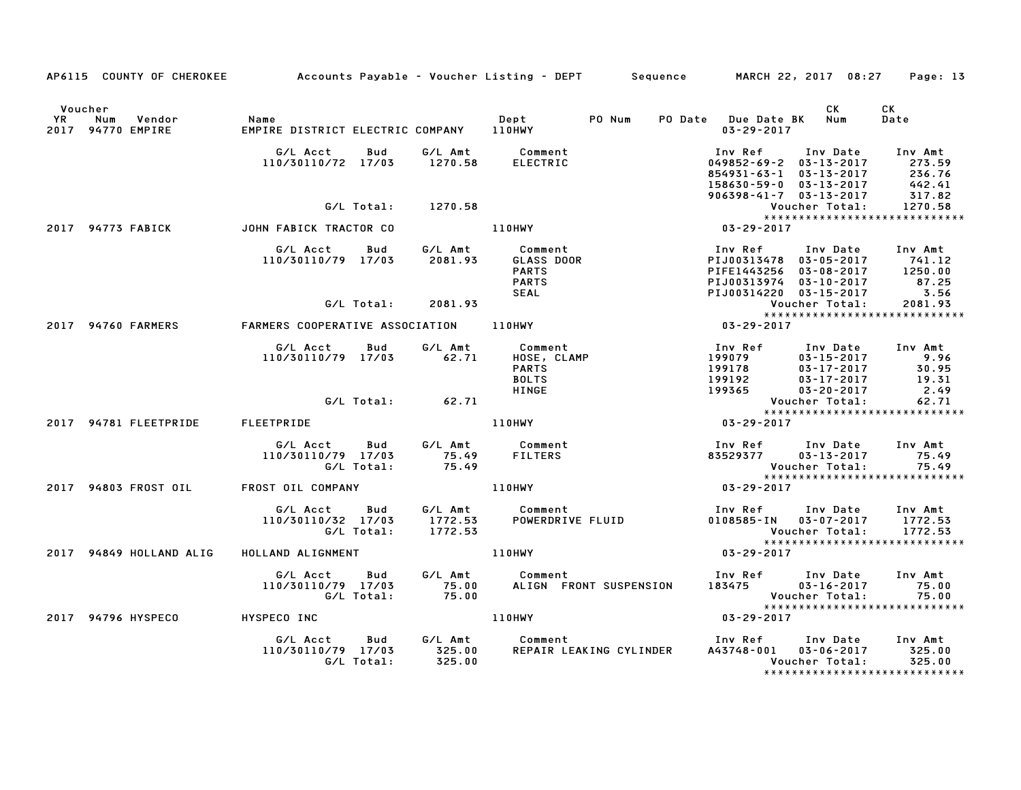|               | AP6115 COUNTY OF CHEROKEE          |                                                                   |     |                               | Accounts Payable – Voucher Listing – DEPT         Sequence         MARCH 22, 2017  08:27 |                                           |                                                                                                                                          | Page: 13                                        |
|---------------|------------------------------------|-------------------------------------------------------------------|-----|-------------------------------|------------------------------------------------------------------------------------------|-------------------------------------------|------------------------------------------------------------------------------------------------------------------------------------------|-------------------------------------------------|
| Voucher<br>YR | Num<br>Vendor<br>2017 94770 EMPIRE | Name<br>EMPIRE DISTRICT ELECTRIC COMPANY                          |     |                               | PO Num<br>Dept<br>110HWY                                                                 | PO Date Due Date BK<br>$03 - 29 - 2017$   | CK<br>Num                                                                                                                                | СK<br>Date                                      |
|               |                                    | G/L Acct<br>110/30110/72 17/03                                    | Bud | G/L Amt<br>1270.58            | Comment<br><b>ELECTRIC</b>                                                               | Inv Ref                                   | Inv Date<br>$049852 - 69 - 2$ $03 - 13 - 2017$<br>854931-63-1 03-13-2017<br>158630-59-0 03-13-2017<br>$906398 - 41 - 7$ $03 - 13 - 2017$ | Inv Amt<br>273.59<br>236.76<br>442.41<br>317.82 |
|               | 2017 94773 FABICK                  | G/L Total:<br>JOHN FABICK TRACTOR CO                              |     | 1270.58                       | <b>110HWY</b>                                                                            | 03-29-2017                                | Voucher Total:<br>*****************************                                                                                          | 1270.58                                         |
|               |                                    | G/L Acct<br>110/30110/79 17/03                                    | Bud | G/L Amt<br>2081.93            | Comment<br>GLASS DOOR<br><b>PARTS</b><br><b>PARTS</b><br><b>SEAL</b>                     | Inv Ref<br>PIFE1443256<br>PIJ00313974     | Inv Date<br>PIJ00313478 03-05-2017<br>$03 - 08 - 2017$<br>$03 - 10 - 2017$<br>PIJ00314220 03-15-2017                                     | Inv Amt<br>741.12<br>1250.00<br>87.25<br>3.56   |
|               |                                    | G/L Total:                                                        |     | 2081.93                       |                                                                                          |                                           | Voucher Total:<br>******************************                                                                                         | 2081.93                                         |
|               | 2017 94760 FARMERS                 | FARMERS COOPERATIVE ASSOCIATION<br>G/L Acct<br>110/30110/79 17/03 | Bud | G/L Amt<br>62.71              | <b>110HWY</b><br>Comment<br>HOSE, CLAMP<br><b>PARTS</b>                                  | 03-29-2017<br>Inv Ref<br>199079<br>199178 | Inv Date<br>$03 - 15 - 2017$<br>03-17-2017                                                                                               | Inv Amt<br>9.96<br>30.95                        |
|               |                                    | G/L Total:                                                        |     | 62.71                         | <b>BOLTS</b><br><b>HINGE</b>                                                             | 199192<br>199365                          | $03 - 17 - 2017$<br>$03 - 20 - 2017$<br>Voucher Total:<br>*****************************                                                  | 19.31<br>2.49<br>62.71                          |
|               | 2017 94781 FLEETPRIDE              | FLEETPRIDE                                                        |     |                               | 110HWY                                                                                   | 03-29-2017                                |                                                                                                                                          |                                                 |
|               |                                    | G/L Acct<br>110/30110/79 17/03<br>G/L Total:                      | Bud | G/L Amt<br>75.49<br>75.49     | Comment<br><b>FILTERS</b>                                                                | 83529377                                  | Inv Ref      Inv Date<br>$03 - 13 - 2017$<br>Voucher Total:                                                                              | Inv Amt<br>75.49<br>75.49                       |
|               | 2017 94803 FROST OIL               | FROST OIL COMPANY                                                 |     |                               | 110HWY                                                                                   | 03-29-2017                                |                                                                                                                                          |                                                 |
|               |                                    | G/L Acct<br>110/30110/32 17/03<br>G/L Total:                      | Bud | G/L Amt<br>1772.53<br>1772.53 | Comment<br>POWERDRIVE FLUID                                                              |                                           | Inv Ref      Inv Date<br>0108585-IN 03-07-2017<br>Voucher Total:<br>*****************************                                        | Inv Amt<br>1772.53<br>1772.53                   |
|               | 2017 94849 HOLLAND ALIG            | HOLLAND ALIGNMENT                                                 |     |                               | 110HWY                                                                                   | 03-29-2017                                |                                                                                                                                          |                                                 |
|               |                                    | G/L Acct<br>110/30110/79 17/03<br>G/L Total:                      | Bud | G/L Amt<br>75.00<br>75.00     | Comment<br>ALIGN FRONT SUSPENSION                                                        | 183475                                    | Inv Ref      Inv Date<br>$03 - 16 - 2017$<br>Voucher Total:<br>*****************************                                             | Inv Amt<br>75.00<br>75.00                       |
|               | 2017 94796 HYSPECO                 | HYSPECO INC                                                       |     |                               | 110HWY                                                                                   | $03 - 29 - 2017$                          |                                                                                                                                          |                                                 |
|               |                                    | G/L Acct<br>110/30110/79 17/03<br>G/L Total:                      | Bud | G/L Amt<br>325.00<br>325.00   | Comment<br>REPAIR LEAKING CYLINDER                                                       | Inv Ref<br>A43748-001                     | Inv Date<br>$03 - 06 - 2017$<br>Voucher Total:<br>*****************************                                                          | Inv Amt<br>325.00<br>325.00                     |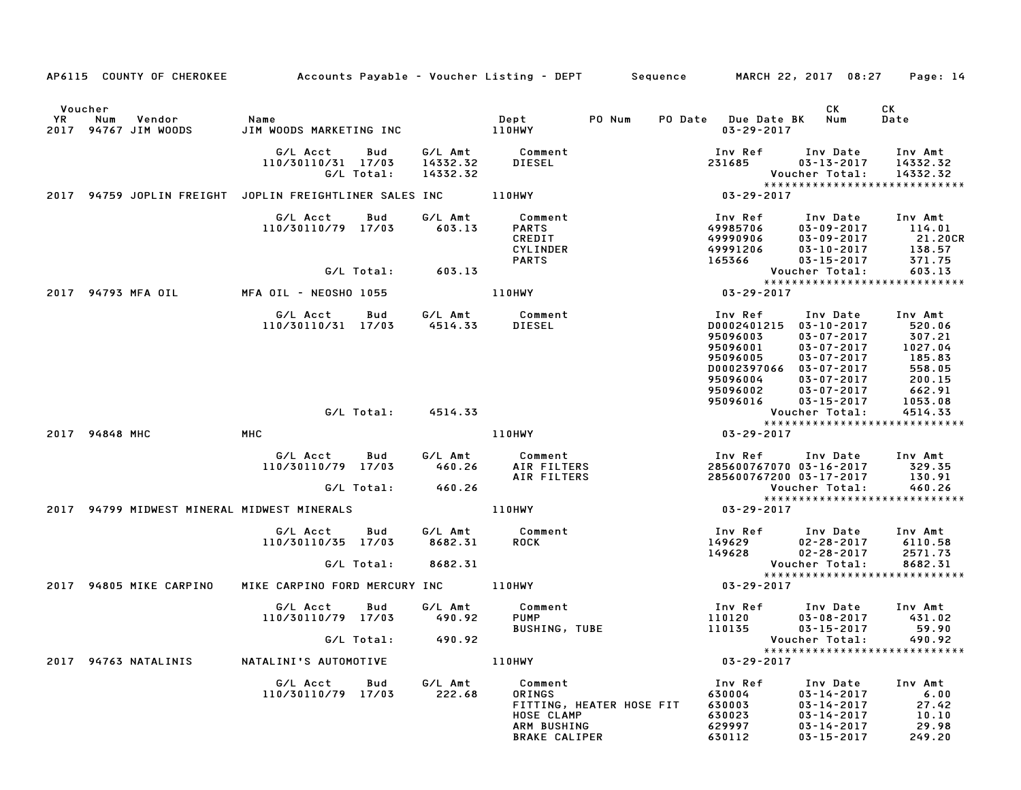|    |                | AP6115 COUNTY OF CHEROKEE      | Accounts Payable – Voucher Listing – DEPT        Sequence |                   |                                 |                                                                                                    |        |         |                                                                                                   | MARCH 22, 2017 08:27                                                                                                                                 | Page: 14                                                                       |
|----|----------------|--------------------------------|-----------------------------------------------------------|-------------------|---------------------------------|----------------------------------------------------------------------------------------------------|--------|---------|---------------------------------------------------------------------------------------------------|------------------------------------------------------------------------------------------------------------------------------------------------------|--------------------------------------------------------------------------------|
| YR | Voucher<br>Num | Vendor<br>2017 94767 JIM WOODS | Name<br>JIM WOODS MARKETING INC                           |                   |                                 | Dept<br><b>110HWY</b>                                                                              | PO Num | PO Date | <b>Due Date BK</b><br>$03 - 29 - 2017$                                                            | СK<br>Num                                                                                                                                            | СK<br>Date                                                                     |
|    |                |                                | G/L Acct<br>110/30110/31 17/03                            | Bud<br>G/L Total: | G/L Amt<br>14332.32<br>14332.32 | Comment<br>DIESEL                                                                                  |        |         | Inv Ref<br>231685                                                                                 | Inv Date<br>$03 - 13 - 2017$<br>Voucher Total:                                                                                                       | Inv Amt<br>14332.32<br>14332.32                                                |
|    |                | 2017 94759 JOPLIN FREIGHT      | JOPLIN FREIGHTLINER SALES INC                             |                   |                                 | 110HWY                                                                                             |        |         | $03 - 29 - 2017$                                                                                  |                                                                                                                                                      | *****************************                                                  |
|    |                |                                | G/L Acct<br>110/30110/79 17/03                            | Bud               | G/L Amt<br>603.13               | Comment<br><b>PARTS</b><br>CREDIT<br><b>CYLINDER</b><br><b>PARTS</b>                               |        |         | Inv Ref<br>49985706<br>49990906<br>49991206<br>165366                                             | Inv Date<br>$03 - 09 - 2017$<br>$03 - 09 - 2017$<br>$03 - 10 - 2017$<br>$03 - 15 - 2017$                                                             | Inv Amt<br>114.01<br>21.20CR<br>138.57<br>371.75                               |
|    |                |                                |                                                           | G/L Total:        | 603.13                          |                                                                                                    |        |         |                                                                                                   | Voucher Total:                                                                                                                                       | 603.13<br>*****************************                                        |
|    |                | 2017 94793 MFA OIL             | MFA OIL - NEOSHO 1055                                     |                   |                                 | 110HWY                                                                                             |        |         | $03 - 29 - 2017$                                                                                  |                                                                                                                                                      |                                                                                |
|    |                |                                | G/L Acct<br>110/30110/31 17/03                            | Bud               | G/L Amt<br>4514.33              | Comment<br>DIESEL                                                                                  |        |         | Inv Ref<br>D0002401215<br>95096003<br>95096001<br>95096005<br>D0002397066<br>95096004<br>95096002 | Inv Date<br>$03 - 10 - 2017$<br>$03 - 07 - 2017$<br>$03 - 07 - 2017$<br>$03 - 07 - 2017$<br>$03 - 07 - 2017$<br>$03 - 07 - 2017$<br>$03 - 07 - 2017$ | Inv Amt<br>520.06<br>307.21<br>1027.04<br>185.83<br>558.05<br>200.15<br>662.91 |
|    |                |                                |                                                           |                   |                                 |                                                                                                    |        |         | 95096016                                                                                          | $03 - 15 - 2017$                                                                                                                                     | 1053.08                                                                        |
|    |                |                                |                                                           | G/L Total:        | 4514.33                         |                                                                                                    |        |         |                                                                                                   | Voucher Total:                                                                                                                                       | 4514.33                                                                        |
|    | 2017 94848 MHC |                                | MHC                                                       |                   |                                 | 110HWY                                                                                             |        |         | $03 - 29 - 2017$                                                                                  |                                                                                                                                                      | *****************************                                                  |
|    |                |                                | G/L Acct<br>110/30110/79 17/03                            | Bud<br>G/L Total: | G/L Amt<br>460.26<br>460.26     | Comment<br>AIR FILTERS<br>AIR FILTERS                                                              |        |         | Inv Ref<br>285600767070 03-16-2017<br>285600767200 03-17-2017                                     | Inv Date<br>Voucher Total:                                                                                                                           | Inv Amt<br>329.35<br>130.91<br>460.26                                          |
|    |                |                                | 2017 94799 MIDWEST MINERAL MIDWEST MINERALS               |                   |                                 | 110HWY                                                                                             |        |         | $03 - 29 - 2017$                                                                                  |                                                                                                                                                      | *****************************                                                  |
|    |                |                                | G/L Acct<br>110/30110/35 17/03                            | Bud               | G/L Amt<br>8682.31              | Comment<br><b>ROCK</b>                                                                             |        |         | Inv Ref<br>149629<br>149628                                                                       | Inv Date<br>$02 - 28 - 2017$<br>$02 - 28 - 2017$                                                                                                     | Inv Amt<br>6110.58<br>2571.73                                                  |
|    |                |                                |                                                           | G/L Total:        | 8682.31                         |                                                                                                    |        |         |                                                                                                   | Voucher Total:                                                                                                                                       | 8682.31<br>******************************                                      |
|    |                | 2017 94805 MIKE CARPINO        | MIKE CARPINO FORD MERCURY INC                             |                   |                                 | 110HWY                                                                                             |        |         | 03-29-2017                                                                                        |                                                                                                                                                      |                                                                                |
|    |                |                                | G/L Acct<br>110/30110/79 17/03                            | Bud               | G/L Amt<br>490.92               | Comment<br>PUMP<br><b>BUSHING, TUBE</b>                                                            |        |         | Inv Ref<br>110120<br>110135                                                                       | Inv Date<br>$03 - 08 - 2017$<br>$03 - 15 - 2017$                                                                                                     | Inv Amt<br>431.02<br>59.90                                                     |
|    |                |                                |                                                           | G/L Total:        | 490.92                          |                                                                                                    |        |         |                                                                                                   | Voucher Total:                                                                                                                                       | 490.92<br>*****************************                                        |
|    |                | 2017 94763 NATALINIS           | NATALINI'S AUTOMOTIVE                                     |                   |                                 | 110HWY                                                                                             |        |         | $03 - 29 - 2017$                                                                                  |                                                                                                                                                      |                                                                                |
|    |                |                                | G/L Acct<br>110/30110/79 17/03                            | Bud               | G/L Amt<br>222.68               | Comment<br>ORINGS<br>FITTING, HEATER HOSE FIT<br>HOSE CLAMP<br>ARM BUSHING<br><b>BRAKE CALIPER</b> |        |         | Inv Ref<br>630004<br>630003<br>630023<br>629997<br>630112                                         | Inv Date<br>$03 - 14 - 2017$<br>$03 - 14 - 2017$<br>$03 - 14 - 2017$<br>$03 - 14 - 2017$<br>$03 - 15 - 2017$                                         | Inv Amt<br>6.00<br>27.42<br>10.10<br>29.98<br>249.20                           |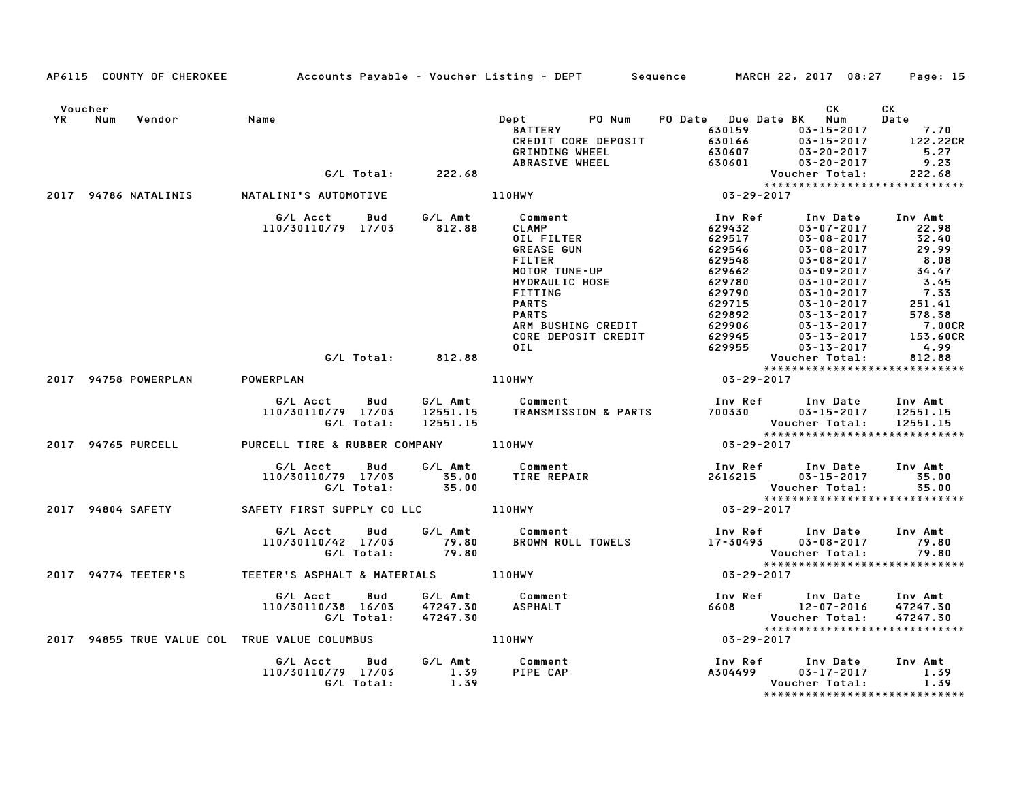|               | AP6115 COUNTY OF CHEROKEE                     |                                |                   |                                 | Accounts Payable – Voucher Listing – DEPT         Sequence |                                             | MARCH 22, 2017 08:27                                | Page: 15                        |
|---------------|-----------------------------------------------|--------------------------------|-------------------|---------------------------------|------------------------------------------------------------|---------------------------------------------|-----------------------------------------------------|---------------------------------|
| Voucher<br>YR | Num<br>Vendor                                 | Name                           |                   |                                 | PO Num<br>Dept<br><b>BATTERY</b><br>CREDIT CORE DEPOSIT    | PO Date Due Date BK Num<br>630159<br>630166 | <b>CK</b><br>$03 - 15 - 2017$<br>$03 - 15 - 2017$   | СK<br>Date<br>7.70<br>122.22CR  |
|               |                                               |                                |                   |                                 | GRINDING WHEEL                                             | 630607                                      | $03 - 20 - 2017$                                    | 5.27                            |
|               |                                               |                                | G/L Total:        | 222.68                          | ABRASIVE WHEEL                                             | 630601                                      | $03 - 20 - 2017$<br>Voucher Total:                  | 9.23<br>222.68                  |
|               |                                               |                                |                   |                                 |                                                            |                                             | *****************************                       |                                 |
|               | 2017 94786 NATALINIS                          | NATALINI'S AUTOMOTIVE          |                   |                                 | 110HWY                                                     | $03 - 29 - 2017$                            |                                                     |                                 |
|               |                                               | G/L Acct                       | Bud               | G/L Amt                         | Comment                                                    | Inv Ref                                     | Inv Date                                            | Inv Amt                         |
|               |                                               | 110/30110/79 17/03             |                   | 812.88                          | <b>CLAMP</b>                                               | 629432                                      | $03 - 07 - 2017$                                    | 22.98                           |
|               |                                               |                                |                   |                                 | OIL FILTER                                                 | 629517                                      | $03 - 08 - 2017$                                    | 32.40                           |
|               |                                               |                                |                   |                                 | <b>GREASE GUN</b><br><b>FILTER</b>                         | 629546<br>629548                            | $03 - 08 - 2017$<br>$03 - 08 - 2017$                | 29.99<br>8.08                   |
|               |                                               |                                |                   |                                 | <b>MOTOR TUNE-UP</b>                                       | 629662                                      | $03 - 09 - 2017$                                    | 34.47                           |
|               |                                               |                                |                   |                                 | HYDRAULIC HOSE                                             | 629780                                      | $03 - 10 - 2017$                                    | 3.45                            |
|               |                                               |                                |                   |                                 | FITTING                                                    | 629790                                      | $03 - 10 - 2017$                                    | 7.33                            |
|               |                                               |                                |                   |                                 | <b>PARTS</b>                                               | 629715                                      | $03 - 10 - 2017$                                    | 251.41                          |
|               |                                               |                                |                   |                                 | <b>PARTS</b>                                               | 629892                                      | $03 - 13 - 2017$                                    | 578.38                          |
|               |                                               |                                |                   |                                 | ARM BUSHING CREDIT                                         | 629906                                      | $03 - 13 - 2017$                                    | 7.00CR                          |
|               |                                               |                                |                   |                                 | CORE DEPOSIT CREDIT                                        | 629945                                      | $03 - 13 - 2017$                                    | 153.60CR                        |
|               |                                               |                                |                   |                                 | OIL.                                                       | 629955                                      | $03 - 13 - 2017$                                    | 4.99                            |
|               |                                               |                                | G/L Total:        | 812.88                          |                                                            |                                             | Voucher Total:                                      | 812.88                          |
|               | 2017 94758 POWERPLAN                          | POWERPLAN                      |                   |                                 | <b>110HWY</b>                                              | 03-29-2017                                  | *****************************                       |                                 |
|               |                                               |                                |                   |                                 |                                                            |                                             |                                                     |                                 |
|               |                                               | G/L Acct<br>110/30110/79 17/03 | Bud<br>G/L Total: | G/L Amt<br>12551.15<br>12551.15 | Comment<br>TRANSMISSION & PARTS                            | Inv Ref<br>700330                           | Inv Date<br>$03 - 15 - 2017$<br>Voucher Total:      | Inv Amt<br>12551.15<br>12551.15 |
|               |                                               |                                |                   |                                 |                                                            |                                             | *****************************                       |                                 |
|               | 2017 94765 PURCELL                            | PURCELL TIRE & RUBBER COMPANY  |                   |                                 | <b>110HWY</b>                                              | $03 - 29 - 2017$                            |                                                     |                                 |
|               |                                               | G/L Acct                       | Bud               | G/L Amt                         | Comment                                                    | Inv Ref                                     | Inv Date                                            | Inv Amt                         |
|               |                                               | 110/30110/79 17/03             | G/L Total:        | 35.00<br>35.00                  | TIRE REPAIR                                                | 2616215                                     | $03 - 15 - 2017$<br>Voucher Total:                  | 35.00<br>35.00                  |
|               |                                               |                                |                   |                                 |                                                            |                                             | *****************************                       |                                 |
|               | 2017 94804 SAFETY                             | SAFETY FIRST SUPPLY CO LLC     |                   |                                 | 110HWY                                                     | 03-29-2017                                  |                                                     |                                 |
|               |                                               | G/L Acct                       | Bud               | G/L Amt                         | Comment                                                    | Inv Ref                                     | Inv Date                                            | Inv Amt                         |
|               |                                               | 110/30110/42 17/03             |                   | 79.80                           | BROWN ROLL TOWELS                                          | 17-30493                                    | $03 - 08 - 2017$                                    | 79.80                           |
|               |                                               |                                | G/L Total:        | 79.80                           |                                                            |                                             | Voucher Total:                                      | 79.80                           |
|               |                                               |                                |                   |                                 |                                                            |                                             | *****************************                       |                                 |
|               | 2017 94774 TEETER'S                           | TEETER'S ASPHALT & MATERIALS   |                   |                                 | 110HWY                                                     | $03 - 29 - 2017$                            |                                                     |                                 |
|               |                                               | G/L Acct                       | Bud               | G/L Amt                         | Comment                                                    | Inv Ref                                     | Inv Date                                            | Inv Amt                         |
|               |                                               | 110/30110/38 16/03             |                   | 47247.30                        | <b>ASPHALT</b>                                             | 6608                                        | 12-07-2016                                          | 47247.30                        |
|               |                                               |                                | G/L Total:        | 47247.30                        |                                                            |                                             | Voucher Total:                                      | 47247.30                        |
|               |                                               |                                |                   |                                 |                                                            |                                             | *****************************                       |                                 |
|               | 2017 94855 TRUE VALUE COL TRUE VALUE COLUMBUS |                                |                   |                                 | <b>110HWY</b>                                              | $03 - 29 - 2017$                            |                                                     |                                 |
|               |                                               | G/L Acct                       | Bud               | G/L Amt                         | Comment                                                    | Inv Ref                                     | Inv Date                                            | Inv Amt                         |
|               |                                               | 110/30110/79 17/03             |                   | 1.39                            | PIPE CAP                                                   | A304499                                     | $03 - 17 - 2017$                                    | 1.39                            |
|               |                                               |                                | G/L Total:        | 1.39                            |                                                            |                                             | Voucher Total:<br>* * * * * * * * * * * * * * * * * | 1.39<br>* * * * * * * * * * * * |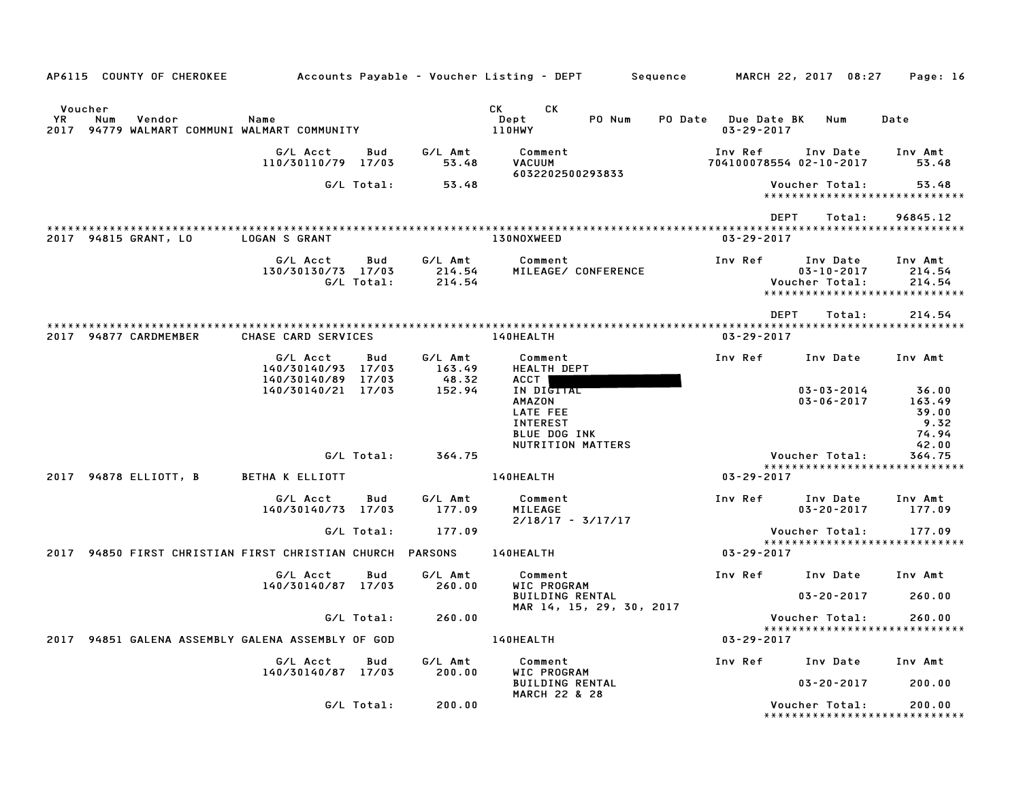| AP6115 COUNTY OF CHEROKEE                                                          |                                                      |                   |                             | Accounts Payable – Voucher Listing – DEPT         Sequence                                                                                                                                                                                                              |                                                | MARCH 22, 2017 08:27                                                            | Page: 16                                           |
|------------------------------------------------------------------------------------|------------------------------------------------------|-------------------|-----------------------------|-------------------------------------------------------------------------------------------------------------------------------------------------------------------------------------------------------------------------------------------------------------------------|------------------------------------------------|---------------------------------------------------------------------------------|----------------------------------------------------|
| Voucher<br>YR.<br>Vendor<br>Num<br>94779 WALMART COMMUNI WALMART COMMUNITY<br>2017 | Name                                                 |                   |                             | CK and the set of the set of the set of the set of the set of the set of the set of the set of the set of the set of the set of the set of the set of the set of the set of the set of the set of the set of the set of the se<br>CK<br>Dept<br>PO Num<br><b>110HWY</b> | <b>PO Date</b> Due Date BK<br>$03 - 29 - 2017$ | Num                                                                             | Date                                               |
|                                                                                    | G/L Acct<br>110/30110/79 17/03                       | Bud               | G/L Amt<br>53.48            | Comment<br><b>VACUUM</b><br>6032202500293833                                                                                                                                                                                                                            | Inv Ref                                        | Inv Date<br>704100078554 02-10-2017                                             | Inv Amt<br>53.48                                   |
|                                                                                    |                                                      | G/L Total:        | 53.48                       |                                                                                                                                                                                                                                                                         |                                                | Voucher Total:<br>*****************************                                 | 53.48                                              |
|                                                                                    |                                                      |                   |                             |                                                                                                                                                                                                                                                                         |                                                | DEPT<br>Total:                                                                  | 96845.12                                           |
| 2017 94815 GRANT, LO                                                               | <b>LOGAN S GRANT</b>                                 |                   |                             | 130NOXWEED                                                                                                                                                                                                                                                              | $03 - 29 - 2017$                               |                                                                                 |                                                    |
|                                                                                    | G/L Acct<br>130/30130/73 17/03                       | Bud<br>G/L Total: | G/L Amt<br>214.54<br>214.54 | Comment<br>MILEAGE/ CONFERENCE                                                                                                                                                                                                                                          | Inv Ref                                        | Inv Date<br>$03 - 10 - 2017$<br>Voucher Total:<br>***************************** | Inv Amt<br>214.54<br>214.54                        |
|                                                                                    |                                                      |                   |                             |                                                                                                                                                                                                                                                                         |                                                | <b>DEPT</b><br>Total:                                                           | 214.54                                             |
| 2017 94877 CARDMEMBER                                                              | CHASE CARD SERVICES                                  |                   |                             | <b>140HEALTH</b>                                                                                                                                                                                                                                                        | $03 - 29 - 2017$                               |                                                                                 |                                                    |
|                                                                                    | G/L Acct<br>140/30140/93 17/03<br>140/30140/89 17/03 | Bud               | G/L Amt<br>163.49<br>48.32  | Comment<br><b>HEALTH DEPT</b><br>ACCT I                                                                                                                                                                                                                                 | Inv Ref                                        | Inv Date                                                                        | Inv Amt                                            |
|                                                                                    | 140/30140/21 17/03                                   |                   | 152.94                      | IN DIGITAL<br>AMAZON<br>LATE FEE<br><b>INTEREST</b><br><b>BLUE DOG INK</b><br>NUTRITION MATTERS                                                                                                                                                                         |                                                | $03 - 03 - 2014$<br>$03 - 06 - 2017$                                            | 36.00<br>163.49<br>39.00<br>9.32<br>74.94<br>42.00 |
|                                                                                    |                                                      | G/L Total:        | 364.75                      |                                                                                                                                                                                                                                                                         |                                                | Voucher Total:                                                                  | 364.75                                             |
| 2017 94878 ELLIOTT, B                                                              | <b>BETHA K ELLIOTT</b>                               |                   |                             | 140HEALTH                                                                                                                                                                                                                                                               | 03-29-2017                                     | *****************************                                                   |                                                    |
|                                                                                    | G/L Acct<br>140/30140/73 17/03                       | Bud               | G/L Amt<br>177.09           | Comment<br>MILEAGE<br>$2/18/17 - 3/17/17$                                                                                                                                                                                                                               | Inv Ref                                        | Inv Date<br>$03 - 20 - 2017$                                                    | Inv Amt<br>177.09                                  |
|                                                                                    |                                                      | G/L Total:        | 177.09                      |                                                                                                                                                                                                                                                                         |                                                | Voucher Total:                                                                  | 177.09                                             |
| 2017 94850 FIRST CHRISTIAN FIRST CHRISTIAN CHURCH PARSONS                          |                                                      |                   |                             | <b>140HEALTH</b>                                                                                                                                                                                                                                                        | 03-29-2017                                     | *****************************                                                   |                                                    |
|                                                                                    | G/L Acct<br>140/30140/87 17/03                       | Bud               | G/L Amt<br>260.00           | Comment<br>WIC PROGRAM                                                                                                                                                                                                                                                  | Inv Ref                                        | Inv Date                                                                        | Inv Amt                                            |
|                                                                                    |                                                      |                   |                             | <b>BUILDING RENTAL</b><br>MAR 14, 15, 29, 30, 2017                                                                                                                                                                                                                      |                                                | $03 - 20 - 2017$                                                                | 260.00                                             |
|                                                                                    |                                                      | G/L Total:        | 260.00                      |                                                                                                                                                                                                                                                                         |                                                | Voucher Total:<br>*****************************                                 | 260.00                                             |
| 94851 GALENA ASSEMBLY GALENA ASSEMBLY OF GOD<br>2017                               |                                                      |                   |                             | <b>140HEALTH</b>                                                                                                                                                                                                                                                        | 03-29-2017                                     |                                                                                 |                                                    |
|                                                                                    | G/L Acct<br>140/30140/87 17/03                       | Bud               | G/L Amt<br>200.00           | Comment<br>WIC PROGRAM                                                                                                                                                                                                                                                  |                                                | Inv Ref Inv Date                                                                | Inv Amt                                            |
|                                                                                    |                                                      |                   |                             | <b>BUILDING RENTAL</b><br><b>MARCH 22 &amp; 28</b>                                                                                                                                                                                                                      |                                                | $03 - 20 - 2017$                                                                | 200.00                                             |
|                                                                                    |                                                      | G/L Total:        | 200.00                      |                                                                                                                                                                                                                                                                         |                                                | Voucher Total:<br>*******************************                               | 200.00                                             |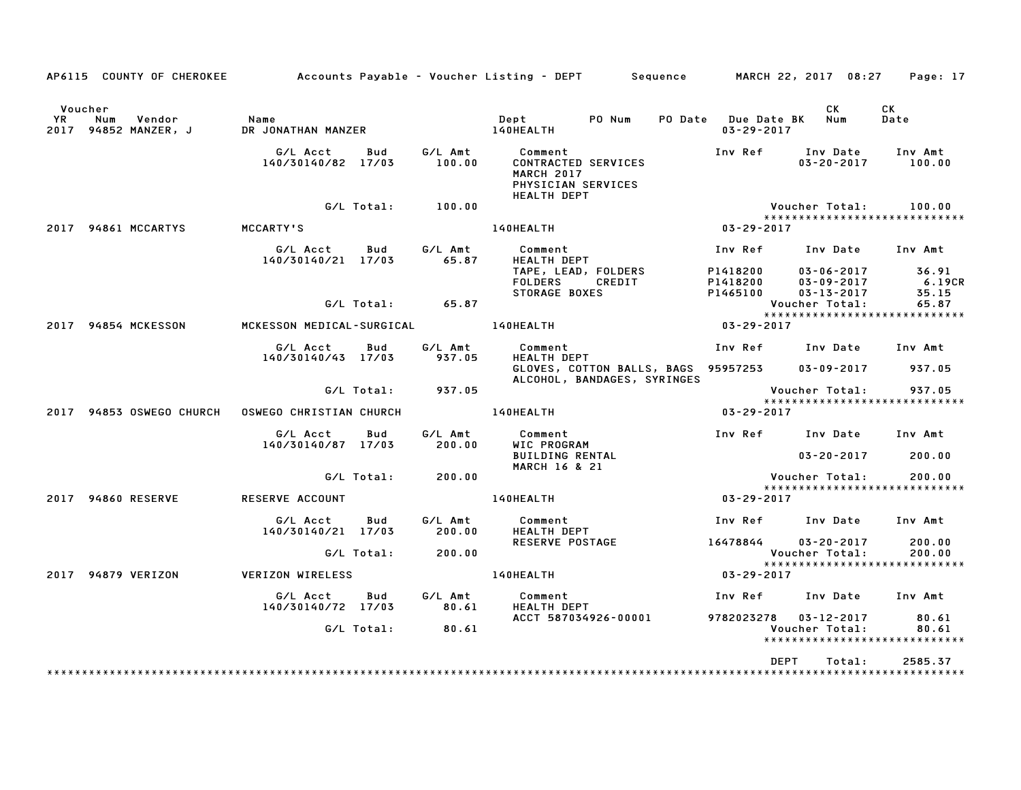|               | AP6115 COUNTY OF CHEROKEE             |                                |            |                   | Accounts Payable – Voucher Listing – DEPT         Sequence                                      |                                                          | MARCH 22, 2017 08:27                                     | Page: 17                      |
|---------------|---------------------------------------|--------------------------------|------------|-------------------|-------------------------------------------------------------------------------------------------|----------------------------------------------------------|----------------------------------------------------------|-------------------------------|
| Voucher<br>YR | Num<br>Vendor<br>2017 94852 MANZER, J | Name<br>DR JONATHAN MANZER     |            |                   | PO Num<br>Dept<br>140HEALTH                                                                     | <b>PO Date</b><br><b>Due Date BK</b><br>$03 - 29 - 2017$ | СK<br>Num                                                | СK<br>Date                    |
|               |                                       | G/L Acct<br>140/30140/82 17/03 | Bud        | G/L Amt<br>100.00 | Comment<br>CONTRACTED SERVICES<br><b>MARCH 2017</b><br>PHYSICIAN SERVICES<br><b>HEALTH DEPT</b> | Inv Ref                                                  | Inv Date<br>$03 - 20 - 2017$                             | Inv Amt<br>100.00             |
|               |                                       |                                | G/L Total: | 100.00            |                                                                                                 |                                                          | Voucher Total:                                           | 100.00                        |
|               | 2017 94861 MCCARTYS                   | MCCARTY'S                      |            |                   | 140HEALTH                                                                                       | 03-29-2017                                               |                                                          | ***************************** |
|               |                                       | G/L Acct                       | Bud        | G/L Amt           | Comment                                                                                         | Inv Ref                                                  | Inv Date                                                 | Inv Amt                       |
|               |                                       | 140/30140/21 17/03             |            | 65.87             | <b>HEALTH DEPT</b><br>TAPE, LEAD, FOLDERS<br><b>FOLDERS</b><br>CREDIT<br>STORAGE BOXES          | P1418200<br>P1418200<br>P1465100                         | $03 - 06 - 2017$<br>$03 - 09 - 2017$<br>$03 - 13 - 2017$ | 36.91<br>6.19CR<br>35.15      |
|               |                                       |                                | G/L Total: | 65.87             |                                                                                                 |                                                          | Voucher Total:                                           | 65.87                         |
|               | 2017 94854 MCKESSON                   | MCKESSON MEDICAL-SURGICAL      |            |                   | 140HEALTH                                                                                       | 03-29-2017                                               |                                                          | ***************************** |
|               |                                       | G/L Acct                       | Bud        | G/L Amt           | Comment                                                                                         | Inv Ref                                                  | Inv Date                                                 | Inv Amt                       |
|               |                                       | 140/30140/43 17/03             |            | 937.05            | <b>HEALTH DEPT</b><br>GLOVES, COTTON BALLS, BAGS 95957253<br>ALCOHOL, BANDAGES, SYRINGES        |                                                          | $03 - 09 - 2017$                                         | 937.05                        |
|               |                                       |                                | G/L Total: | 937.05            |                                                                                                 |                                                          | Voucher Total:                                           | 937.05                        |
|               | 2017 94853 OSWEGO CHURCH              | OSWEGO CHRISTIAN CHURCH        |            |                   | 140HEALTH                                                                                       | $03 - 29 - 2017$                                         |                                                          | ***************************** |
|               |                                       | G/L Acct<br>140/30140/87 17/03 | Bud        | G/L Amt<br>200.00 | Comment<br>WIC PROGRAM                                                                          | Inv Ref Inv Date                                         |                                                          | Inv Amt                       |
|               |                                       |                                |            |                   | <b>BUILDING RENTAL</b><br><b>MARCH 16 &amp; 21</b>                                              |                                                          | $03 - 20 - 2017$                                         | 200.00                        |
|               |                                       |                                | G/L Total: | 200.00            |                                                                                                 |                                                          | Voucher Total:                                           | 200.00                        |
|               | 2017 94860 RESERVE                    | RESERVE ACCOUNT                |            |                   | 140HEALTH                                                                                       | 03-29-2017                                               |                                                          | ***************************** |
|               |                                       | G/L Acct<br>140/30140/21 17/03 | Bud        | G/L Amt<br>200.00 | Comment<br><b>HEALTH DEPT</b>                                                                   | Inv Ref                                                  | Inv Date                                                 | Inv Amt                       |
|               |                                       |                                | G/L Total: | 200.00            | <b>RESERVE POSTAGE</b>                                                                          | 16478844                                                 | $03 - 20 - 2017$<br>Voucher Total:                       | 200.00<br>200.00              |
|               |                                       |                                |            |                   |                                                                                                 |                                                          |                                                          | ***************************** |
|               | 2017 94879 VERIZON                    | VERIZON WIRELESS               |            |                   | 140HEALTH                                                                                       | 03-29-2017                                               |                                                          |                               |
|               |                                       | G/L Acct<br>140/30140/72 17/03 | Bud        | G/L Amt<br>80.61  | Comment<br><b>HEALTH DEPT</b>                                                                   | Inv Ref                                                  | Inv Date                                                 | Inv Amt                       |
|               |                                       |                                | G/L Total: | 80.61             | ACCT 587034926-00001                                                                            | 9782023278  03-12-2017                                   | Voucher Total:                                           | 80.61<br>80.61                |
|               |                                       |                                |            |                   |                                                                                                 |                                                          |                                                          | ***************************** |
|               |                                       |                                |            |                   |                                                                                                 | DEPT                                                     | Total:                                                   | 2585.37                       |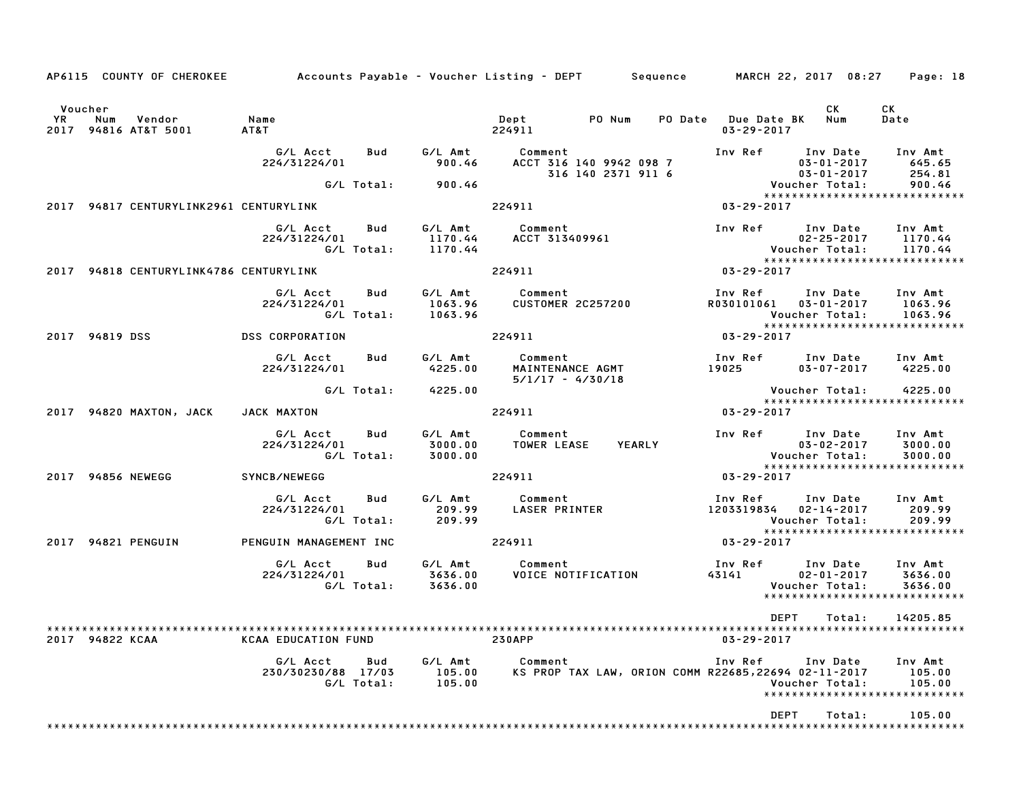|                 |     | AP6115 COUNTY OF CHEROKEE              | Accounts Payable – Voucher Listing – DEPT         Sequence       MARCH 22, 2017  08:27     Page: 18 |                   |                                          |                                           |                                                     |                                       |             |                                                             |                                                                       |  |
|-----------------|-----|----------------------------------------|-----------------------------------------------------------------------------------------------------|-------------------|------------------------------------------|-------------------------------------------|-----------------------------------------------------|---------------------------------------|-------------|-------------------------------------------------------------|-----------------------------------------------------------------------|--|
| Voucher<br>YR   | Num | Vendor<br>2017 94816 AT&T 5001         | Name<br>AT&T                                                                                        |                   |                                          | Dept<br>224911                            | PO Num                                              | PO Date Due Date BK Num<br>03-29-2017 |             | CK                                                          | CK<br>Date                                                            |  |
|                 |     |                                        | G/L Acct<br>224/31224/01                                                                            | Bud               | G∕L Amt<br>900.46                        | Comment<br>ACCT 316 140 9942 098 7        | 316 140 2371 911 6                                  |                                       |             | Inv Ref Inv Date<br>$03 - 01 - 2017$<br>03-01-2017          | Inv Amt<br>645.65<br>254.81                                           |  |
|                 |     |                                        |                                                                                                     | G/L Total:        | 900.46                                   |                                           |                                                     |                                       |             | Voucher Total:                                              | 900.46<br>*****************************                               |  |
|                 |     | 2017 94817 CENTURYLINK2961 CENTURYLINK |                                                                                                     |                   |                                          | 224911                                    |                                                     | 03-29-2017                            |             |                                                             |                                                                       |  |
|                 |     |                                        | G/L Acct<br>224/31224/01                                                                            | Bud<br>G/L Total: | 1170.44                                  | G/L Amt Comment<br>1170.44 ACCT 313409961 |                                                     |                                       |             | $02 - 25 - 2017$<br>Voucher Total:                          | Inv Ref Inv Date Inv Amt<br>1170.44<br>1170.44                        |  |
|                 |     |                                        | 2017 94818 CENTURYLINK4786 CENTURYLINK                                                              |                   |                                          | 224911                                    |                                                     | $03 - 29 - 2017$                      |             |                                                             | *****************************                                         |  |
|                 |     |                                        | G/L Acct<br>224/31224/01                                                                            | Bud<br>G/L Total: | G/L Amt<br>1063.96<br>1063.96            | Comment<br><b>CUSTOMER 2C257200</b>       |                                                     | Inv Ref<br>R030101061                 |             | Inv Date<br>$03 - 01 - 2017$<br>Voucher Total:              | Inv Amt<br>1063.96<br>1063.96<br>******************************       |  |
| 2017 94819 DSS  |     |                                        | <b>DSS CORPORATION</b>                                                                              |                   |                                          | 224911                                    |                                                     | 03-29-2017                            |             |                                                             |                                                                       |  |
|                 |     |                                        | G/L Acct<br>224/31224/01                                                                            | Bud               | G/L Amt<br>4225.00                       | Comment<br>$5/1/17 - 4/30/18$             | MAINTENANCE AGMT                                    | 19025 1902                            |             | $03 - 07 - 2017$                                            | Inv Ref Inv Date Inv Amt<br>4225.00                                   |  |
|                 |     | 2017 94820 MAXTON, JACK                | JACK MAXTON                                                                                         | G/L Total:        | 4225.00                                  | 224911                                    |                                                     | $03 - 29 - 2017$                      |             | Voucher Total:                                              | 4225.00<br>*****************************                              |  |
|                 |     |                                        | G/L Acct<br>224/31224/01                                                                            | Bud<br>G/L Total: | G/L Amt<br>3000.00<br>3000.00            | Comment<br><b>TOWER LEASE</b>             | <b>YEARLY</b>                                       |                                       |             | Inv Ref Inv Date<br>$03 - 02 - 2017$<br>Voucher Total:      | Inv Amt<br>3000.00<br>3000.00<br>*****************************        |  |
|                 |     | 2017 94856 NEWEGG                      | SYNCB/NEWEGG                                                                                        |                   |                                          | 224911                                    |                                                     | 03-29-2017                            |             |                                                             |                                                                       |  |
|                 |     |                                        | G/L Acct<br>224/31224/01                                                                            | Bud<br>G/L Total: | 209.99                                   | G/L Amt Comment<br>209.99 LASER PRINTER   |                                                     | Inv Ref                               |             | 1203319834 02-14-2017<br>Voucher Total:                     | Inv Date Inv Amt<br>209.99<br>209.99<br>***************************** |  |
|                 |     | 2017 94821 PENGUIN                     | PENGUIN MANAGEMENT INC                                                                              |                   |                                          | 224911                                    |                                                     | $03 - 29 - 2017$                      |             |                                                             |                                                                       |  |
|                 |     |                                        | G/L Acct<br>224/31224/01                                                                            | Bud               | G∕L Amt<br>3636.00<br>G/L Total: 3636.00 | Comment                                   | VOICE NOTIFICATION                                  | 43141                                 |             | Inv Ref      Inv Date<br>$02 - 01 - 2017$<br>Voucher Total: | Inv Amt<br>3636.00<br>3636.00<br>*****************************        |  |
| 2017 94822 KCAA |     |                                        | <b>KCAA EDUCATION FUND</b>                                                                          |                   |                                          | <b>230APP</b>                             |                                                     | $03 - 29 - 2017$                      | <b>DEPT</b> | Total:                                                      | 14205.85                                                              |  |
|                 |     |                                        | G/L Acct<br>230/30230/88 17/03                                                                      | Bud<br>G/L Total: | G/L Amt<br>105.00<br>105.00              | Comment                                   | KS PROP TAX LAW, ORION COMM R22685,22694 02-11-2017 | Inv Ref                               |             | Inv Date<br>Voucher Total:                                  | Inv Amt<br>105.00<br>105.00<br>*****************************          |  |
|                 |     |                                        |                                                                                                     |                   |                                          |                                           |                                                     |                                       | <b>DEPT</b> | Total:                                                      | 105.00                                                                |  |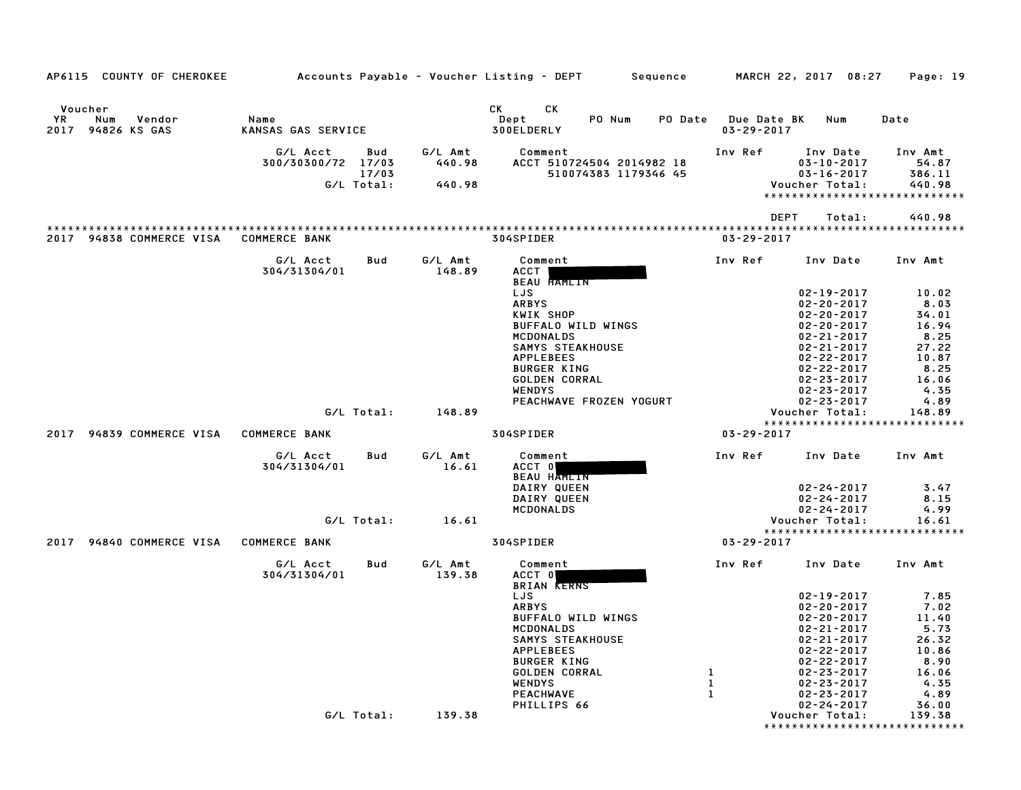| AP6115 COUNTY OF CHEROKEE                            |                                                              |                             | Accounts Payable – Voucher Listing – DEPT         Sequence                                                                                                    | MARCH 22, 2017 08:27                                                                                                                                                                       | Page: 19                                                                 |
|------------------------------------------------------|--------------------------------------------------------------|-----------------------------|---------------------------------------------------------------------------------------------------------------------------------------------------------------|--------------------------------------------------------------------------------------------------------------------------------------------------------------------------------------------|--------------------------------------------------------------------------|
| Voucher<br>YR.<br>Num<br>Vendor<br>2017 94826 KS GAS | Name<br><b>KANSAS GAS SERVICE</b>                            |                             | CK<br>СK<br>Dept<br>PO Num<br>PO Date<br>300ELDERLY                                                                                                           | Due Date BK<br>Num<br>$03 - 29 - 2017$                                                                                                                                                     | Date                                                                     |
|                                                      | G/L Acct<br>Bud<br>300/30300/72 17/03<br>17/03<br>G/L Total: | G/L Amt<br>440.98<br>440.98 | Comment<br>ACCT 510724504 2014982 18<br>510074383 1179346 45                                                                                                  | Inv Ref<br>Inv Date<br>$03 - 10 - 2017$<br>$03 - 16 - 2017$<br>Voucher Total:<br>*****************************                                                                             | Inv Amt<br>54.87<br>386.11<br>440.98                                     |
|                                                      |                                                              |                             |                                                                                                                                                               | <b>DEPT</b><br>Total:                                                                                                                                                                      | 440.98                                                                   |
| 2017 94838 COMMERCE VISA                             | <b>COMMERCE BANK</b>                                         |                             | ************************<br>304SPIDER                                                                                                                         | ***********************************<br>$03 - 29 - 2017$                                                                                                                                    |                                                                          |
|                                                      | G/L Acct<br>Bud<br>304/31304/01                              | G/L Amt<br>148.89           | Comment<br>ACCT                                                                                                                                               | Inv Ref<br>Inv Date                                                                                                                                                                        | Inv Amt                                                                  |
|                                                      |                                                              |                             | <b>BEAU HAMLIN</b><br>LJS<br><b>ARBYS</b><br>KWIK SHOP<br>BUFFALO WILD WINGS                                                                                  | $02 - 19 - 2017$<br>$02 - 20 - 2017$<br>$02 - 20 - 2017$<br>$02 - 20 - 2017$                                                                                                               | 10.02<br>8.03<br>34.01<br>16.94                                          |
|                                                      |                                                              |                             | <b>MCDONALDS</b><br><b>SAMYS STEAKHOUSE</b><br><b>APPLEBEES</b>                                                                                               | $02 - 21 - 2017$<br>$02 - 21 - 2017$<br>$02 - 22 - 2017$                                                                                                                                   | 8.25<br>27.22<br>10.87                                                   |
|                                                      |                                                              |                             | <b>BURGER KING</b><br>GOLDEN CORRAL<br><b>WENDYS</b><br>PEACHWAVE FROZEN YOGURT                                                                               | $02 - 22 - 2017$<br>$02 - 23 - 2017$<br>$02 - 23 - 2017$<br>$02 - 23 - 2017$                                                                                                               | 8.25<br>16.06<br>4.35<br>4.89                                            |
|                                                      | G/L Total:                                                   | 148.89                      |                                                                                                                                                               | Voucher Total:                                                                                                                                                                             | 148.89                                                                   |
| 94839 COMMERCE VISA<br>2017                          | <b>COMMERCE BANK</b>                                         |                             | 304SPIDER                                                                                                                                                     | *****************************<br>$03 - 29 - 2017$                                                                                                                                          |                                                                          |
|                                                      | G/L Acct<br>Bud<br>304/31304/01                              | G/L Amt<br>16.61            | Comment<br>ACCT 0                                                                                                                                             | Inv Ref<br>Inv Date                                                                                                                                                                        | Inv Amt                                                                  |
|                                                      |                                                              |                             | BEAU HAMLIN<br>DAIRY QUEEN<br>DAIRY QUEEN<br>MCDONALDS                                                                                                        | $02 - 24 - 2017$<br>$02 - 24 - 2017$<br>$02 - 24 - 2017$                                                                                                                                   | 3.47<br>8.15<br>4.99                                                     |
|                                                      | G/L Total:                                                   | 16.61                       |                                                                                                                                                               | Voucher Total:<br>*****************************                                                                                                                                            | 16.61                                                                    |
| 94840 COMMERCE VISA<br>2017                          | <b>COMMERCE BANK</b>                                         |                             | 304SPIDER                                                                                                                                                     | $03 - 29 - 2017$                                                                                                                                                                           |                                                                          |
|                                                      | G/L Acct<br>Bud<br>304/31304/01                              | G/L Amt<br>139.38           | Comment<br>ACCT 0<br><b>BRIAN KERNS</b>                                                                                                                       | Inv Ref<br>Inv Date                                                                                                                                                                        | Inv Amt                                                                  |
|                                                      |                                                              |                             | LJS<br><b>ARBYS</b><br>BUFFALO WILD WINGS<br>MCDONALDS<br><b>SAMYS STEAKHOUSE</b><br><b>APPLEBEES</b><br><b>BURGER KING</b><br>GOLDEN CORRAL<br><b>WENDYS</b> | $02 - 19 - 2017$<br>$02 - 20 - 2017$<br>$02 - 20 - 2017$<br>$02 - 21 - 2017$<br>$02 - 21 - 2017$<br>$02 - 22 - 2017$<br>$02 - 22 - 2017$<br>1<br>$02 - 23 - 2017$<br>1<br>$02 - 23 - 2017$ | 7.85<br>7.02<br>11.40<br>5.73<br>26.32<br>10.86<br>8.90<br>16.06<br>4.35 |
|                                                      |                                                              |                             | <b>PEACHWAVE</b>                                                                                                                                              | $\mathbf{1}$<br>$02 - 23 - 2017$                                                                                                                                                           | 4.89                                                                     |
|                                                      | G/L Total:                                                   | 139.38                      | PHILLIPS 66                                                                                                                                                   | $02 - 24 - 2017$<br>Voucher Total:<br>*****************************                                                                                                                        | 36.00<br>139.38                                                          |